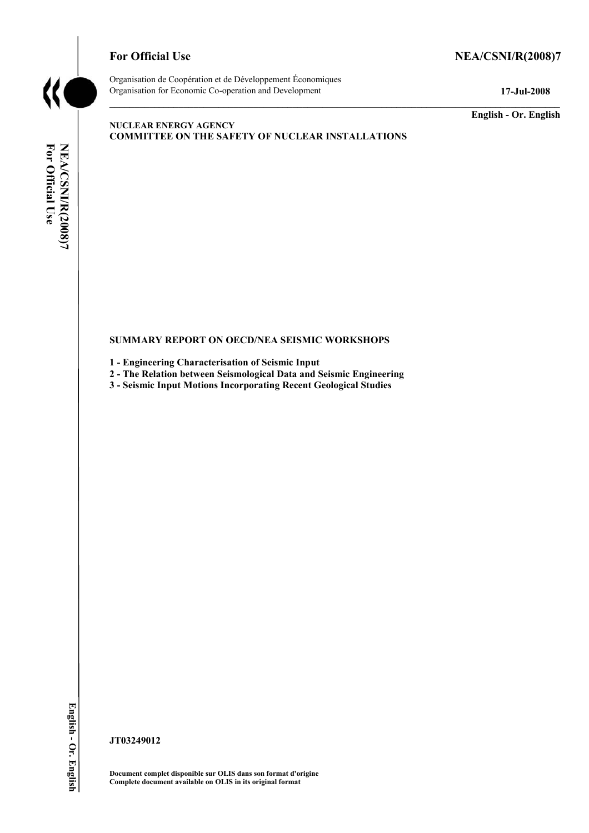



Organisation de Coopération et de Développement Économiques Organisation for Economic Co-operation and Development **17-Jul-2008** 

**English - Or. English** 

# **NUCLEAR ENERGY AGENCY COMMITTEE ON THE SAFETY OF NUCLEAR INSTALLATIONS**

# For Official Use NEA/CSNI/R(2008)7 **For Official Use NEA/CSNI/R(2008)7 English - Or. English**

# **SUMMARY REPORT ON OECD/NEA SEISMIC WORKSHOPS**

- **1 Engineering Characterisation of Seismic Input**
- **2 The Relation between Seismological Data and Seismic Engineering**
- **3 Seismic Input Motions Incorporating Recent Geological Studies**

**JT03249012** 

**Document complet disponible sur OLIS dans son format d'origine Complete document available on OLIS in its original format**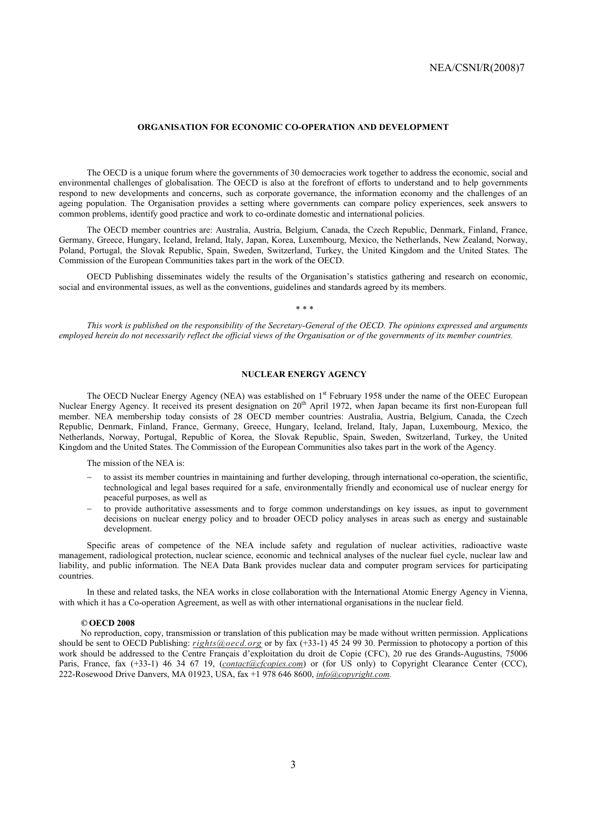### **ORGANISATION FOR ECONOMIC CO-OPERATION AND DEVELOPMENT**

 The OECD is a unique forum where the governments of 30 democracies work together to address the economic, social and environmental challenges of globalisation. The OECD is also at the forefront of efforts to understand and to help governments respond to new developments and concerns, such as corporate governance, the information economy and the challenges of an ageing population. The Organisation provides a setting where governments can compare policy experiences, seek answers to common problems, identify good practice and work to co-ordinate domestic and international policies.

 The OECD member countries are: Australia, Austria, Belgium, Canada, the Czech Republic, Denmark, Finland, France, Germany, Greece, Hungary, Iceland, Ireland, Italy, Japan, Korea, Luxembourg, Mexico, the Netherlands, New Zealand, Norway, Poland, Portugal, the Slovak Republic, Spain, Sweden, Switzerland, Turkey, the United Kingdom and the United States. The Commission of the European Communities takes part in the work of the OECD.

 OECD Publishing disseminates widely the results of the Organisation's statistics gathering and research on economic, social and environmental issues, as well as the conventions, guidelines and standards agreed by its members.

*\* \* \** 

 *This work is published on the responsibility of the Secretary-General of the OECD. The opinions expressed and arguments employed herein do not necessarily reflect the official views of the Organisation or of the governments of its member countries.* 

### **NUCLEAR ENERGY AGENCY**

The OECD Nuclear Energy Agency (NEA) was established on 1<sup>st</sup> February 1958 under the name of the OEEC European Nuclear Energy Agency. It received its present designation on 20<sup>th</sup> April 1972, when Japan became its first non-European full member. NEA membership today consists of 28 OECD member countries: Australia, Austria, Belgium, Canada, the Czech Republic, Denmark, Finland, France, Germany, Greece, Hungary, Iceland, Ireland, Italy, Japan, Luxembourg, Mexico, the Netherlands, Norway, Portugal, Republic of Korea, the Slovak Republic, Spain, Sweden, Switzerland, Turkey, the United Kingdom and the United States. The Commission of the European Communities also takes part in the work of the Agency.

The mission of the NEA is:

- − to assist its member countries in maintaining and further developing, through international co-operation, the scientific, technological and legal bases required for a safe, environmentally friendly and economical use of nuclear energy for peaceful purposes, as well as
- − to provide authoritative assessments and to forge common understandings on key issues, as input to government decisions on nuclear energy policy and to broader OECD policy analyses in areas such as energy and sustainable development.

 Specific areas of competence of the NEA include safety and regulation of nuclear activities, radioactive waste management, radiological protection, nuclear science, economic and technical analyses of the nuclear fuel cycle, nuclear law and liability, and public information. The NEA Data Bank provides nuclear data and computer program services for participating countries.

 In these and related tasks, the NEA works in close collaboration with the International Atomic Energy Agency in Vienna, with which it has a Co-operation Agreement, as well as with other international organisations in the nuclear field.

### *©* **OECD 2008**

No reproduction, copy, transmission or translation of this publication may be made without written permission. Applications should be sent to OECD Publishing: *rights@oecd.org* or by fax (+33-1) 45 24 99 30. Permission to photocopy a portion of this work should be addressed to the Centre Français d'exploitation du droit de Copie (CFC), 20 rue des Grands-Augustins, 75006 Paris, France, fax (+33-1) 46 34 67 19, (*contact@cfcopies.com*) or (for US only) to Copyright Clearance Center (CCC), 222-Rosewood Drive Danvers, MA 01923, USA, fax +1 978 646 8600, *info@copyright.com.*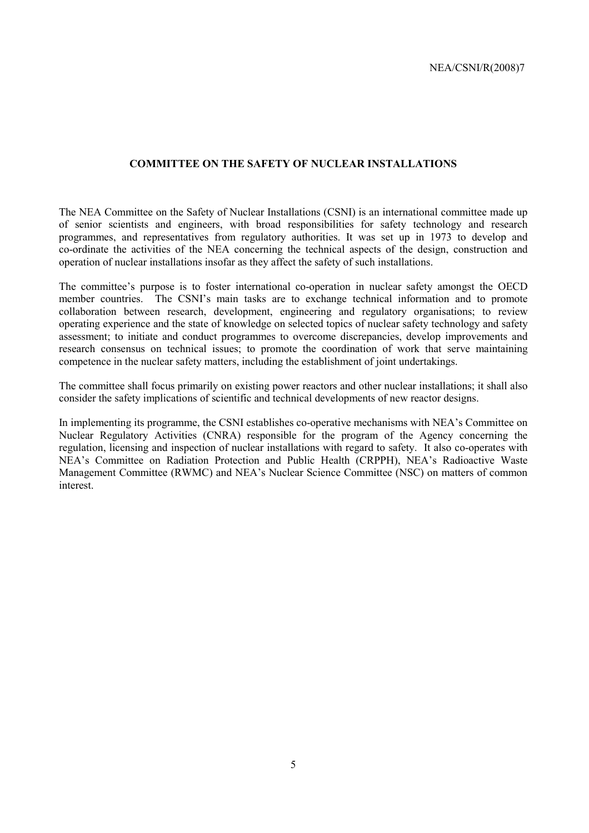# **COMMITTEE ON THE SAFETY OF NUCLEAR INSTALLATIONS**

The NEA Committee on the Safety of Nuclear Installations (CSNI) is an international committee made up of senior scientists and engineers, with broad responsibilities for safety technology and research programmes, and representatives from regulatory authorities. It was set up in 1973 to develop and co-ordinate the activities of the NEA concerning the technical aspects of the design, construction and operation of nuclear installations insofar as they affect the safety of such installations.

The committee's purpose is to foster international co-operation in nuclear safety amongst the OECD member countries. The CSNI's main tasks are to exchange technical information and to promote collaboration between research, development, engineering and regulatory organisations; to review operating experience and the state of knowledge on selected topics of nuclear safety technology and safety assessment; to initiate and conduct programmes to overcome discrepancies, develop improvements and research consensus on technical issues; to promote the coordination of work that serve maintaining competence in the nuclear safety matters, including the establishment of joint undertakings.

The committee shall focus primarily on existing power reactors and other nuclear installations; it shall also consider the safety implications of scientific and technical developments of new reactor designs.

In implementing its programme, the CSNI establishes co-operative mechanisms with NEA's Committee on Nuclear Regulatory Activities (CNRA) responsible for the program of the Agency concerning the regulation, licensing and inspection of nuclear installations with regard to safety. It also co-operates with NEA's Committee on Radiation Protection and Public Health (CRPPH), NEA's Radioactive Waste Management Committee (RWMC) and NEA's Nuclear Science Committee (NSC) on matters of common interest.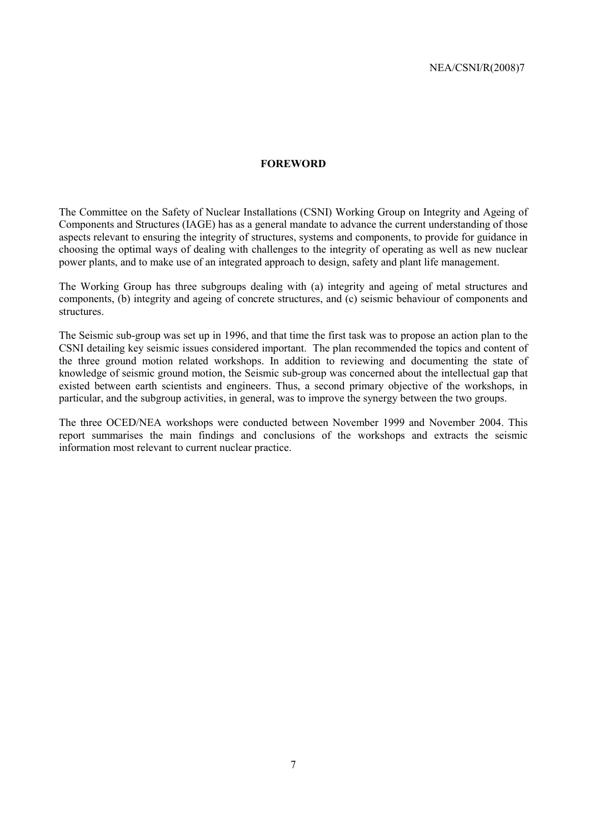### **FOREWORD**

The Committee on the Safety of Nuclear Installations (CSNI) Working Group on Integrity and Ageing of Components and Structures (IAGE) has as a general mandate to advance the current understanding of those aspects relevant to ensuring the integrity of structures, systems and components, to provide for guidance in choosing the optimal ways of dealing with challenges to the integrity of operating as well as new nuclear power plants, and to make use of an integrated approach to design, safety and plant life management.

The Working Group has three subgroups dealing with (a) integrity and ageing of metal structures and components, (b) integrity and ageing of concrete structures, and (c) seismic behaviour of components and structures.

The Seismic sub-group was set up in 1996, and that time the first task was to propose an action plan to the CSNI detailing key seismic issues considered important. The plan recommended the topics and content of the three ground motion related workshops. In addition to reviewing and documenting the state of knowledge of seismic ground motion, the Seismic sub-group was concerned about the intellectual gap that existed between earth scientists and engineers. Thus, a second primary objective of the workshops, in particular, and the subgroup activities, in general, was to improve the synergy between the two groups.

The three OCED/NEA workshops were conducted between November 1999 and November 2004. This report summarises the main findings and conclusions of the workshops and extracts the seismic information most relevant to current nuclear practice.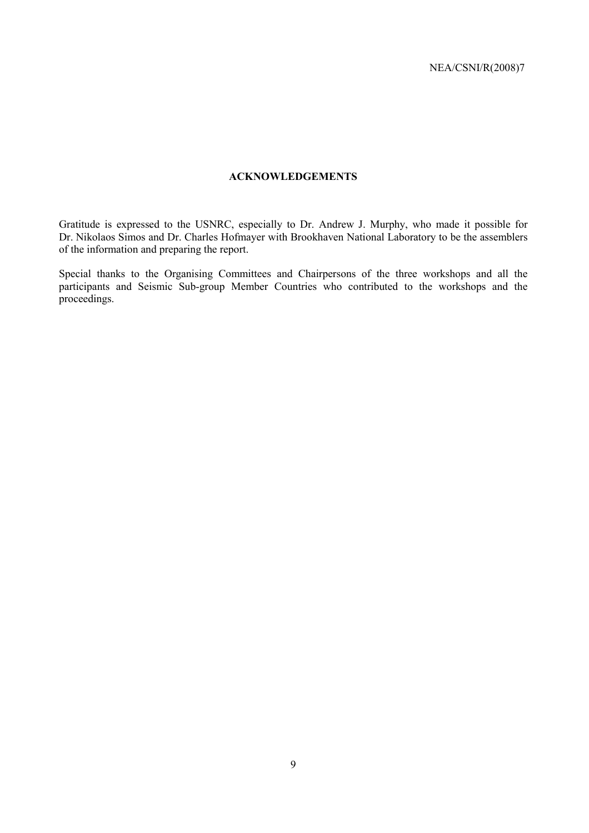### **ACKNOWLEDGEMENTS**

Gratitude is expressed to the USNRC, especially to Dr. Andrew J. Murphy, who made it possible for Dr. Nikolaos Simos and Dr. Charles Hofmayer with Brookhaven National Laboratory to be the assemblers of the information and preparing the report.

Special thanks to the Organising Committees and Chairpersons of the three workshops and all the participants and Seismic Sub-group Member Countries who contributed to the workshops and the proceedings.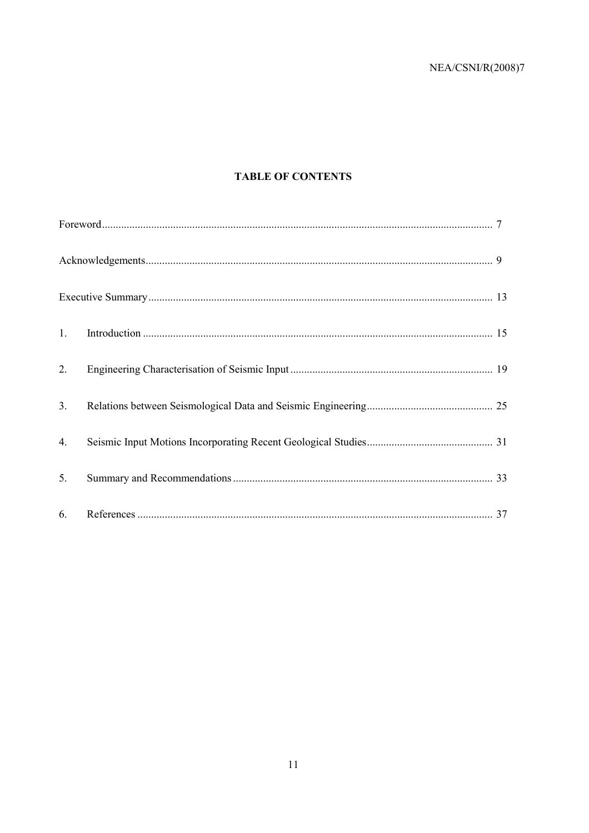# **TABLE OF CONTENTS**

| 1.             |  |
|----------------|--|
| 2.             |  |
| 3 <sub>1</sub> |  |
| 4.             |  |
| 5.             |  |
| 6.             |  |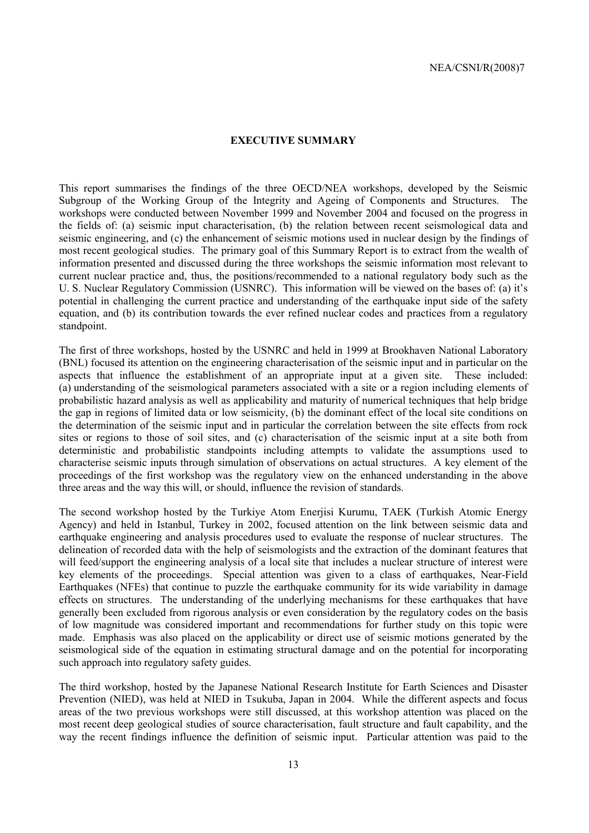### **EXECUTIVE SUMMARY**

This report summarises the findings of the three OECD/NEA workshops, developed by the Seismic Subgroup of the Working Group of the Integrity and Ageing of Components and Structures. The workshops were conducted between November 1999 and November 2004 and focused on the progress in the fields of: (a) seismic input characterisation, (b) the relation between recent seismological data and seismic engineering, and (c) the enhancement of seismic motions used in nuclear design by the findings of most recent geological studies. The primary goal of this Summary Report is to extract from the wealth of information presented and discussed during the three workshops the seismic information most relevant to current nuclear practice and, thus, the positions/recommended to a national regulatory body such as the U. S. Nuclear Regulatory Commission (USNRC). This information will be viewed on the bases of: (a) it's potential in challenging the current practice and understanding of the earthquake input side of the safety equation, and (b) its contribution towards the ever refined nuclear codes and practices from a regulatory standpoint.

The first of three workshops, hosted by the USNRC and held in 1999 at Brookhaven National Laboratory (BNL) focused its attention on the engineering characterisation of the seismic input and in particular on the aspects that influence the establishment of an appropriate input at a given site. These included: (a) understanding of the seismological parameters associated with a site or a region including elements of probabilistic hazard analysis as well as applicability and maturity of numerical techniques that help bridge the gap in regions of limited data or low seismicity, (b) the dominant effect of the local site conditions on the determination of the seismic input and in particular the correlation between the site effects from rock sites or regions to those of soil sites, and (c) characterisation of the seismic input at a site both from deterministic and probabilistic standpoints including attempts to validate the assumptions used to characterise seismic inputs through simulation of observations on actual structures. A key element of the proceedings of the first workshop was the regulatory view on the enhanced understanding in the above three areas and the way this will, or should, influence the revision of standards.

The second workshop hosted by the Turkiye Atom Enerjisi Kurumu, TAEK (Turkish Atomic Energy Agency) and held in Istanbul, Turkey in 2002, focused attention on the link between seismic data and earthquake engineering and analysis procedures used to evaluate the response of nuclear structures. The delineation of recorded data with the help of seismologists and the extraction of the dominant features that will feed/support the engineering analysis of a local site that includes a nuclear structure of interest were key elements of the proceedings. Special attention was given to a class of earthquakes, Near-Field Earthquakes (NFEs) that continue to puzzle the earthquake community for its wide variability in damage effects on structures. The understanding of the underlying mechanisms for these earthquakes that have generally been excluded from rigorous analysis or even consideration by the regulatory codes on the basis of low magnitude was considered important and recommendations for further study on this topic were made. Emphasis was also placed on the applicability or direct use of seismic motions generated by the seismological side of the equation in estimating structural damage and on the potential for incorporating such approach into regulatory safety guides.

The third workshop, hosted by the Japanese National Research Institute for Earth Sciences and Disaster Prevention (NIED), was held at NIED in Tsukuba, Japan in 2004. While the different aspects and focus areas of the two previous workshops were still discussed, at this workshop attention was placed on the most recent deep geological studies of source characterisation, fault structure and fault capability, and the way the recent findings influence the definition of seismic input. Particular attention was paid to the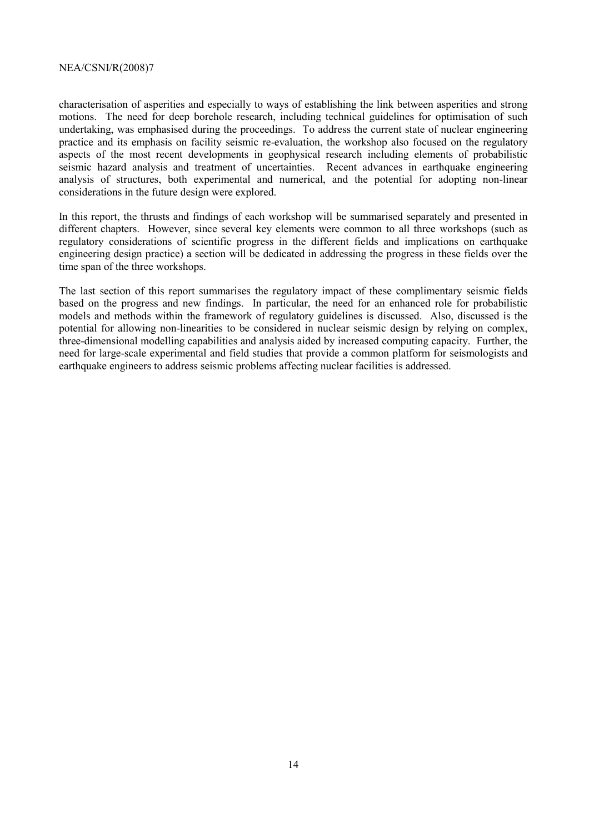characterisation of asperities and especially to ways of establishing the link between asperities and strong motions. The need for deep borehole research, including technical guidelines for optimisation of such undertaking, was emphasised during the proceedings. To address the current state of nuclear engineering practice and its emphasis on facility seismic re-evaluation, the workshop also focused on the regulatory aspects of the most recent developments in geophysical research including elements of probabilistic seismic hazard analysis and treatment of uncertainties. Recent advances in earthquake engineering analysis of structures, both experimental and numerical, and the potential for adopting non-linear considerations in the future design were explored.

In this report, the thrusts and findings of each workshop will be summarised separately and presented in different chapters. However, since several key elements were common to all three workshops (such as regulatory considerations of scientific progress in the different fields and implications on earthquake engineering design practice) a section will be dedicated in addressing the progress in these fields over the time span of the three workshops.

The last section of this report summarises the regulatory impact of these complimentary seismic fields based on the progress and new findings. In particular, the need for an enhanced role for probabilistic models and methods within the framework of regulatory guidelines is discussed. Also, discussed is the potential for allowing non-linearities to be considered in nuclear seismic design by relying on complex, three-dimensional modelling capabilities and analysis aided by increased computing capacity. Further, the need for large-scale experimental and field studies that provide a common platform for seismologists and earthquake engineers to address seismic problems affecting nuclear facilities is addressed.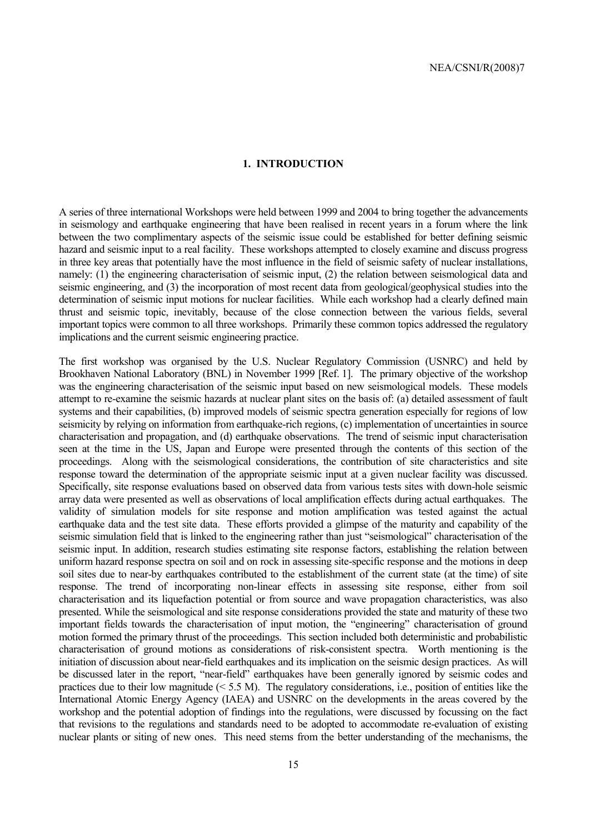### **1. INTRODUCTION**

A series of three international Workshops were held between 1999 and 2004 to bring together the advancements in seismology and earthquake engineering that have been realised in recent years in a forum where the link between the two complimentary aspects of the seismic issue could be established for better defining seismic hazard and seismic input to a real facility. These workshops attempted to closely examine and discuss progress in three key areas that potentially have the most influence in the field of seismic safety of nuclear installations, namely: (1) the engineering characterisation of seismic input, (2) the relation between seismological data and seismic engineering, and (3) the incorporation of most recent data from geological/geophysical studies into the determination of seismic input motions for nuclear facilities. While each workshop had a clearly defined main thrust and seismic topic, inevitably, because of the close connection between the various fields, several important topics were common to all three workshops. Primarily these common topics addressed the regulatory implications and the current seismic engineering practice.

The first workshop was organised by the U.S. Nuclear Regulatory Commission (USNRC) and held by Brookhaven National Laboratory (BNL) in November 1999 [Ref. 1]. The primary objective of the workshop was the engineering characterisation of the seismic input based on new seismological models. These models attempt to re-examine the seismic hazards at nuclear plant sites on the basis of: (a) detailed assessment of fault systems and their capabilities, (b) improved models of seismic spectra generation especially for regions of low seismicity by relying on information from earthquake-rich regions, (c) implementation of uncertainties in source characterisation and propagation, and (d) earthquake observations. The trend of seismic input characterisation seen at the time in the US, Japan and Europe were presented through the contents of this section of the proceedings. Along with the seismological considerations, the contribution of site characteristics and site response toward the determination of the appropriate seismic input at a given nuclear facility was discussed. Specifically, site response evaluations based on observed data from various tests sites with down-hole seismic array data were presented as well as observations of local amplification effects during actual earthquakes. The validity of simulation models for site response and motion amplification was tested against the actual earthquake data and the test site data. These efforts provided a glimpse of the maturity and capability of the seismic simulation field that is linked to the engineering rather than just "seismological" characterisation of the seismic input. In addition, research studies estimating site response factors, establishing the relation between uniform hazard response spectra on soil and on rock in assessing site-specific response and the motions in deep soil sites due to near-by earthquakes contributed to the establishment of the current state (at the time) of site response. The trend of incorporating non-linear effects in assessing site response, either from soil characterisation and its liquefaction potential or from source and wave propagation characteristics, was also presented. While the seismological and site response considerations provided the state and maturity of these two important fields towards the characterisation of input motion, the "engineering" characterisation of ground motion formed the primary thrust of the proceedings. This section included both deterministic and probabilistic characterisation of ground motions as considerations of risk-consistent spectra. Worth mentioning is the initiation of discussion about near-field earthquakes and its implication on the seismic design practices. As will be discussed later in the report, "near-field" earthquakes have been generally ignored by seismic codes and practices due to their low magnitude (< 5.5 M). The regulatory considerations, i.e., position of entities like the International Atomic Energy Agency (IAEA) and USNRC on the developments in the areas covered by the workshop and the potential adoption of findings into the regulations, were discussed by focussing on the fact that revisions to the regulations and standards need to be adopted to accommodate re-evaluation of existing nuclear plants or siting of new ones. This need stems from the better understanding of the mechanisms, the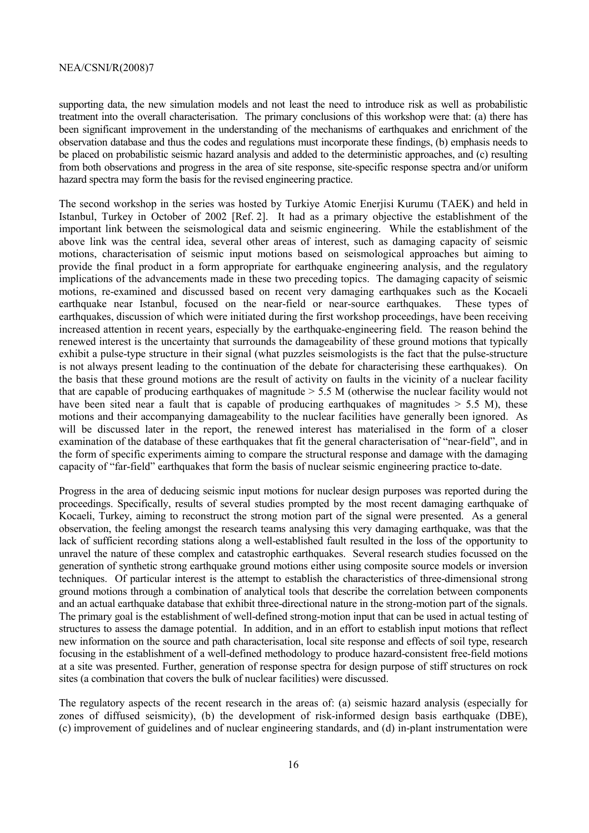supporting data, the new simulation models and not least the need to introduce risk as well as probabilistic treatment into the overall characterisation. The primary conclusions of this workshop were that: (a) there has been significant improvement in the understanding of the mechanisms of earthquakes and enrichment of the observation database and thus the codes and regulations must incorporate these findings, (b) emphasis needs to be placed on probabilistic seismic hazard analysis and added to the deterministic approaches, and (c) resulting from both observations and progress in the area of site response, site-specific response spectra and/or uniform hazard spectra may form the basis for the revised engineering practice.

The second workshop in the series was hosted by Turkiye Atomic Enerjisi Kurumu (TAEK) and held in Istanbul, Turkey in October of 2002 [Ref. 2]. It had as a primary objective the establishment of the important link between the seismological data and seismic engineering. While the establishment of the above link was the central idea, several other areas of interest, such as damaging capacity of seismic motions, characterisation of seismic input motions based on seismological approaches but aiming to provide the final product in a form appropriate for earthquake engineering analysis, and the regulatory implications of the advancements made in these two preceding topics. The damaging capacity of seismic motions, re-examined and discussed based on recent very damaging earthquakes such as the Kocaeli earthquake near Istanbul, focused on the near-field or near-source earthquakes. These types of earthquakes, discussion of which were initiated during the first workshop proceedings, have been receiving increased attention in recent years, especially by the earthquake-engineering field. The reason behind the renewed interest is the uncertainty that surrounds the damageability of these ground motions that typically exhibit a pulse-type structure in their signal (what puzzles seismologists is the fact that the pulse-structure is not always present leading to the continuation of the debate for characterising these earthquakes). On the basis that these ground motions are the result of activity on faults in the vicinity of a nuclear facility that are capable of producing earthquakes of magnitude > 5.5 M (otherwise the nuclear facility would not have been sited near a fault that is capable of producing earthquakes of magnitudes  $> 5.5$  M), these motions and their accompanying damageability to the nuclear facilities have generally been ignored. As will be discussed later in the report, the renewed interest has materialised in the form of a closer examination of the database of these earthquakes that fit the general characterisation of "near-field", and in the form of specific experiments aiming to compare the structural response and damage with the damaging capacity of "far-field" earthquakes that form the basis of nuclear seismic engineering practice to-date.

Progress in the area of deducing seismic input motions for nuclear design purposes was reported during the proceedings. Specifically, results of several studies prompted by the most recent damaging earthquake of Kocaeli, Turkey, aiming to reconstruct the strong motion part of the signal were presented. As a general observation, the feeling amongst the research teams analysing this very damaging earthquake, was that the lack of sufficient recording stations along a well-established fault resulted in the loss of the opportunity to unravel the nature of these complex and catastrophic earthquakes. Several research studies focussed on the generation of synthetic strong earthquake ground motions either using composite source models or inversion techniques. Of particular interest is the attempt to establish the characteristics of three-dimensional strong ground motions through a combination of analytical tools that describe the correlation between components and an actual earthquake database that exhibit three-directional nature in the strong-motion part of the signals. The primary goal is the establishment of well-defined strong-motion input that can be used in actual testing of structures to assess the damage potential. In addition, and in an effort to establish input motions that reflect new information on the source and path characterisation, local site response and effects of soil type, research focusing in the establishment of a well-defined methodology to produce hazard-consistent free-field motions at a site was presented. Further, generation of response spectra for design purpose of stiff structures on rock sites (a combination that covers the bulk of nuclear facilities) were discussed.

The regulatory aspects of the recent research in the areas of: (a) seismic hazard analysis (especially for zones of diffused seismicity), (b) the development of risk-informed design basis earthquake (DBE), (c) improvement of guidelines and of nuclear engineering standards, and (d) in-plant instrumentation were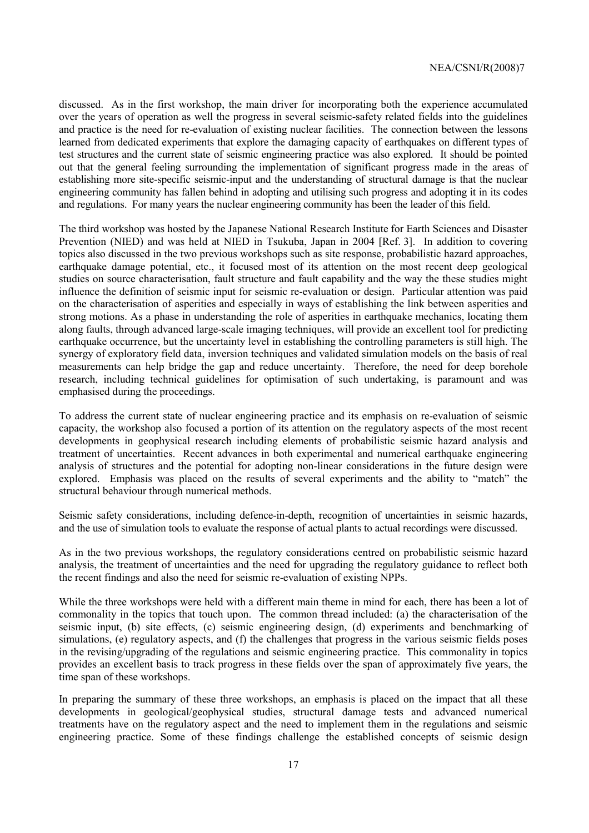discussed. As in the first workshop, the main driver for incorporating both the experience accumulated over the years of operation as well the progress in several seismic-safety related fields into the guidelines and practice is the need for re-evaluation of existing nuclear facilities. The connection between the lessons learned from dedicated experiments that explore the damaging capacity of earthquakes on different types of test structures and the current state of seismic engineering practice was also explored. It should be pointed out that the general feeling surrounding the implementation of significant progress made in the areas of establishing more site-specific seismic-input and the understanding of structural damage is that the nuclear engineering community has fallen behind in adopting and utilising such progress and adopting it in its codes and regulations. For many years the nuclear engineering community has been the leader of this field.

The third workshop was hosted by the Japanese National Research Institute for Earth Sciences and Disaster Prevention (NIED) and was held at NIED in Tsukuba, Japan in 2004 [Ref. 3]. In addition to covering topics also discussed in the two previous workshops such as site response, probabilistic hazard approaches, earthquake damage potential, etc., it focused most of its attention on the most recent deep geological studies on source characterisation, fault structure and fault capability and the way the these studies might influence the definition of seismic input for seismic re-evaluation or design. Particular attention was paid on the characterisation of asperities and especially in ways of establishing the link between asperities and strong motions. As a phase in understanding the role of asperities in earthquake mechanics, locating them along faults, through advanced large-scale imaging techniques, will provide an excellent tool for predicting earthquake occurrence, but the uncertainty level in establishing the controlling parameters is still high. The synergy of exploratory field data, inversion techniques and validated simulation models on the basis of real measurements can help bridge the gap and reduce uncertainty. Therefore, the need for deep borehole research, including technical guidelines for optimisation of such undertaking, is paramount and was emphasised during the proceedings.

To address the current state of nuclear engineering practice and its emphasis on re-evaluation of seismic capacity, the workshop also focused a portion of its attention on the regulatory aspects of the most recent developments in geophysical research including elements of probabilistic seismic hazard analysis and treatment of uncertainties. Recent advances in both experimental and numerical earthquake engineering analysis of structures and the potential for adopting non-linear considerations in the future design were explored. Emphasis was placed on the results of several experiments and the ability to "match" the structural behaviour through numerical methods.

Seismic safety considerations, including defence-in-depth, recognition of uncertainties in seismic hazards, and the use of simulation tools to evaluate the response of actual plants to actual recordings were discussed.

As in the two previous workshops, the regulatory considerations centred on probabilistic seismic hazard analysis, the treatment of uncertainties and the need for upgrading the regulatory guidance to reflect both the recent findings and also the need for seismic re-evaluation of existing NPPs.

While the three workshops were held with a different main theme in mind for each, there has been a lot of commonality in the topics that touch upon. The common thread included: (a) the characterisation of the seismic input, (b) site effects, (c) seismic engineering design, (d) experiments and benchmarking of simulations, (e) regulatory aspects, and (f) the challenges that progress in the various seismic fields poses in the revising/upgrading of the regulations and seismic engineering practice. This commonality in topics provides an excellent basis to track progress in these fields over the span of approximately five years, the time span of these workshops.

In preparing the summary of these three workshops, an emphasis is placed on the impact that all these developments in geological/geophysical studies, structural damage tests and advanced numerical treatments have on the regulatory aspect and the need to implement them in the regulations and seismic engineering practice. Some of these findings challenge the established concepts of seismic design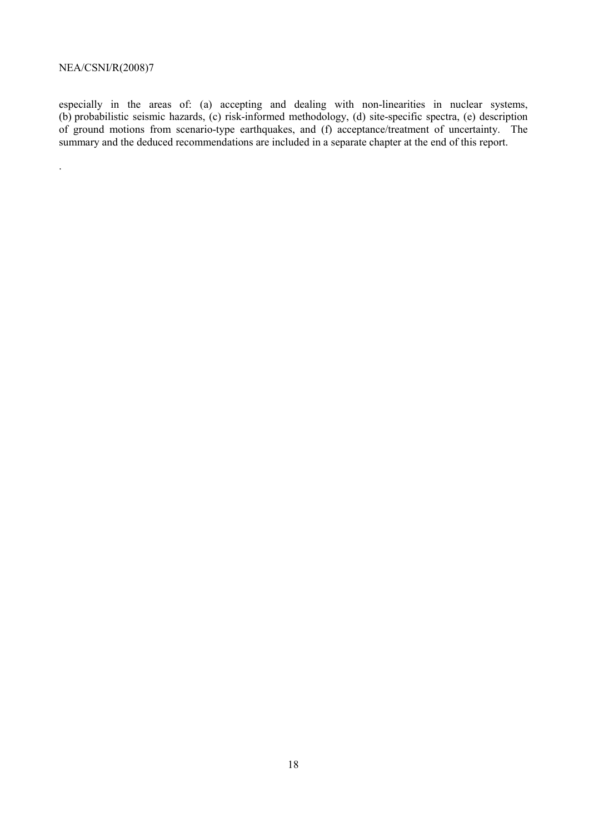.

especially in the areas of: (a) accepting and dealing with non-linearities in nuclear systems, (b) probabilistic seismic hazards, (c) risk-informed methodology, (d) site-specific spectra, (e) description of ground motions from scenario-type earthquakes, and (f) acceptance/treatment of uncertainty. The summary and the deduced recommendations are included in a separate chapter at the end of this report.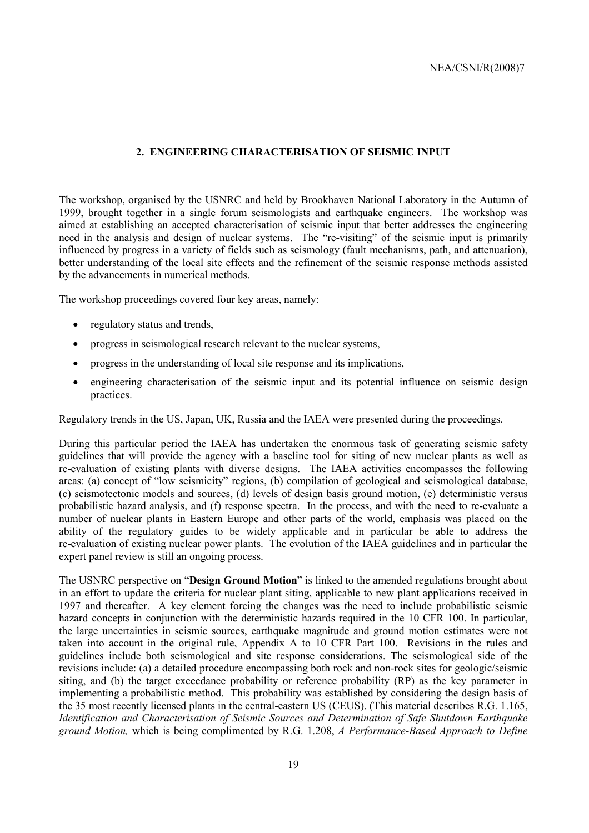## **2. ENGINEERING CHARACTERISATION OF SEISMIC INPUT**

The workshop, organised by the USNRC and held by Brookhaven National Laboratory in the Autumn of 1999, brought together in a single forum seismologists and earthquake engineers. The workshop was aimed at establishing an accepted characterisation of seismic input that better addresses the engineering need in the analysis and design of nuclear systems. The "re-visiting" of the seismic input is primarily influenced by progress in a variety of fields such as seismology (fault mechanisms, path, and attenuation), better understanding of the local site effects and the refinement of the seismic response methods assisted by the advancements in numerical methods.

The workshop proceedings covered four key areas, namely:

- regulatory status and trends.
- progress in seismological research relevant to the nuclear systems,
- progress in the understanding of local site response and its implications,
- engineering characterisation of the seismic input and its potential influence on seismic design practices.

Regulatory trends in the US, Japan, UK, Russia and the IAEA were presented during the proceedings.

During this particular period the IAEA has undertaken the enormous task of generating seismic safety guidelines that will provide the agency with a baseline tool for siting of new nuclear plants as well as re-evaluation of existing plants with diverse designs. The IAEA activities encompasses the following areas: (a) concept of "low seismicity" regions, (b) compilation of geological and seismological database, (c) seismotectonic models and sources, (d) levels of design basis ground motion, (e) deterministic versus probabilistic hazard analysis, and (f) response spectra. In the process, and with the need to re-evaluate a number of nuclear plants in Eastern Europe and other parts of the world, emphasis was placed on the ability of the regulatory guides to be widely applicable and in particular be able to address the re-evaluation of existing nuclear power plants. The evolution of the IAEA guidelines and in particular the expert panel review is still an ongoing process.

The USNRC perspective on "**Design Ground Motion**" is linked to the amended regulations brought about in an effort to update the criteria for nuclear plant siting, applicable to new plant applications received in 1997 and thereafter. A key element forcing the changes was the need to include probabilistic seismic hazard concepts in conjunction with the deterministic hazards required in the 10 CFR 100. In particular, the large uncertainties in seismic sources, earthquake magnitude and ground motion estimates were not taken into account in the original rule, Appendix A to 10 CFR Part 100. Revisions in the rules and guidelines include both seismological and site response considerations. The seismological side of the revisions include: (a) a detailed procedure encompassing both rock and non-rock sites for geologic/seismic siting, and (b) the target exceedance probability or reference probability (RP) as the key parameter in implementing a probabilistic method. This probability was established by considering the design basis of the 35 most recently licensed plants in the central-eastern US (CEUS). (This material describes R.G. 1.165, *Identification and Characterisation of Seismic Sources and Determination of Safe Shutdown Earthquake ground Motion,* which is being complimented by R.G. 1.208, *A Performance-Based Approach to Define*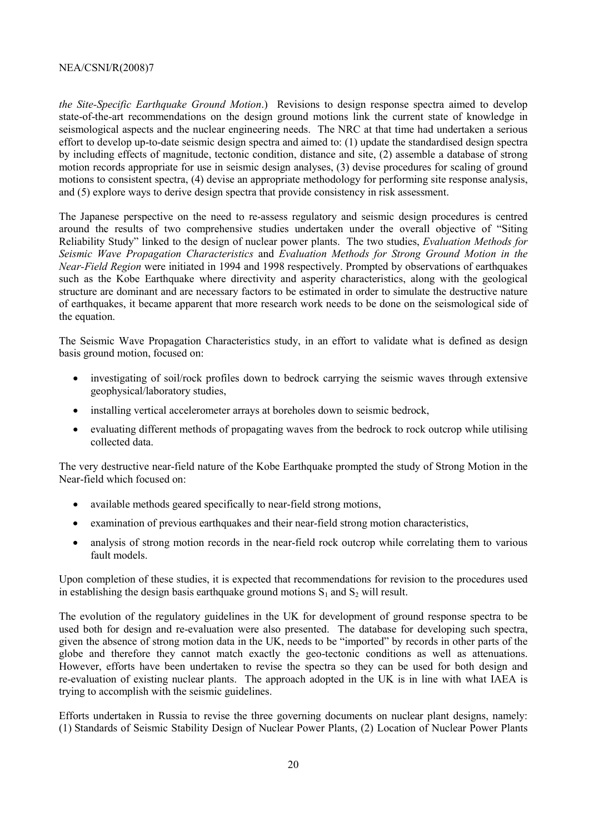*the Site-Specific Earthquake Ground Motion*.) Revisions to design response spectra aimed to develop state-of-the-art recommendations on the design ground motions link the current state of knowledge in seismological aspects and the nuclear engineering needs. The NRC at that time had undertaken a serious effort to develop up-to-date seismic design spectra and aimed to: (1) update the standardised design spectra by including effects of magnitude, tectonic condition, distance and site, (2) assemble a database of strong motion records appropriate for use in seismic design analyses, (3) devise procedures for scaling of ground motions to consistent spectra, (4) devise an appropriate methodology for performing site response analysis, and (5) explore ways to derive design spectra that provide consistency in risk assessment.

The Japanese perspective on the need to re-assess regulatory and seismic design procedures is centred around the results of two comprehensive studies undertaken under the overall objective of "Siting Reliability Study" linked to the design of nuclear power plants. The two studies, *Evaluation Methods for Seismic Wave Propagation Characteristics* and *Evaluation Methods for Strong Ground Motion in the Near-Field Region* were initiated in 1994 and 1998 respectively. Prompted by observations of earthquakes such as the Kobe Earthquake where directivity and asperity characteristics, along with the geological structure are dominant and are necessary factors to be estimated in order to simulate the destructive nature of earthquakes, it became apparent that more research work needs to be done on the seismological side of the equation.

The Seismic Wave Propagation Characteristics study, in an effort to validate what is defined as design basis ground motion, focused on:

- investigating of soil/rock profiles down to bedrock carrying the seismic waves through extensive geophysical/laboratory studies,
- installing vertical accelerometer arrays at boreholes down to seismic bedrock,
- evaluating different methods of propagating waves from the bedrock to rock outcrop while utilising collected data.

The very destructive near-field nature of the Kobe Earthquake prompted the study of Strong Motion in the Near-field which focused on:

- available methods geared specifically to near-field strong motions,
- examination of previous earthquakes and their near-field strong motion characteristics,
- analysis of strong motion records in the near-field rock outcrop while correlating them to various fault models.

Upon completion of these studies, it is expected that recommendations for revision to the procedures used in establishing the design basis earthquake ground motions  $S_1$  and  $S_2$  will result.

The evolution of the regulatory guidelines in the UK for development of ground response spectra to be used both for design and re-evaluation were also presented. The database for developing such spectra, given the absence of strong motion data in the UK, needs to be "imported" by records in other parts of the globe and therefore they cannot match exactly the geo-tectonic conditions as well as attenuations. However, efforts have been undertaken to revise the spectra so they can be used for both design and re-evaluation of existing nuclear plants. The approach adopted in the UK is in line with what IAEA is trying to accomplish with the seismic guidelines.

Efforts undertaken in Russia to revise the three governing documents on nuclear plant designs, namely: (1) Standards of Seismic Stability Design of Nuclear Power Plants, (2) Location of Nuclear Power Plants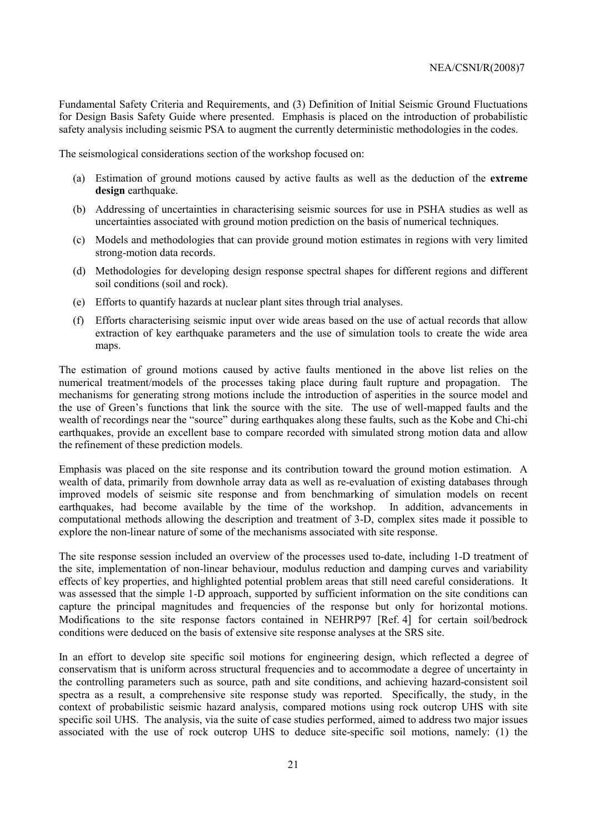Fundamental Safety Criteria and Requirements, and (3) Definition of Initial Seismic Ground Fluctuations for Design Basis Safety Guide where presented. Emphasis is placed on the introduction of probabilistic safety analysis including seismic PSA to augment the currently deterministic methodologies in the codes.

The seismological considerations section of the workshop focused on:

- (a) Estimation of ground motions caused by active faults as well as the deduction of the **extreme design** earthquake.
- (b) Addressing of uncertainties in characterising seismic sources for use in PSHA studies as well as uncertainties associated with ground motion prediction on the basis of numerical techniques.
- (c) Models and methodologies that can provide ground motion estimates in regions with very limited strong-motion data records.
- (d) Methodologies for developing design response spectral shapes for different regions and different soil conditions (soil and rock).
- (e) Efforts to quantify hazards at nuclear plant sites through trial analyses.
- (f) Efforts characterising seismic input over wide areas based on the use of actual records that allow extraction of key earthquake parameters and the use of simulation tools to create the wide area maps.

The estimation of ground motions caused by active faults mentioned in the above list relies on the numerical treatment/models of the processes taking place during fault rupture and propagation. The mechanisms for generating strong motions include the introduction of asperities in the source model and the use of Green's functions that link the source with the site. The use of well-mapped faults and the wealth of recordings near the "source" during earthquakes along these faults, such as the Kobe and Chi-chi earthquakes, provide an excellent base to compare recorded with simulated strong motion data and allow the refinement of these prediction models.

Emphasis was placed on the site response and its contribution toward the ground motion estimation. A wealth of data, primarily from downhole array data as well as re-evaluation of existing databases through improved models of seismic site response and from benchmarking of simulation models on recent earthquakes, had become available by the time of the workshop. In addition, advancements in computational methods allowing the description and treatment of 3-D, complex sites made it possible to explore the non-linear nature of some of the mechanisms associated with site response.

The site response session included an overview of the processes used to-date, including 1-D treatment of the site, implementation of non-linear behaviour, modulus reduction and damping curves and variability effects of key properties, and highlighted potential problem areas that still need careful considerations. It was assessed that the simple 1-D approach, supported by sufficient information on the site conditions can capture the principal magnitudes and frequencies of the response but only for horizontal motions. Modifications to the site response factors contained in NEHRP97 [Ref. 4] for certain soil/bedrock conditions were deduced on the basis of extensive site response analyses at the SRS site.

In an effort to develop site specific soil motions for engineering design, which reflected a degree of conservatism that is uniform across structural frequencies and to accommodate a degree of uncertainty in the controlling parameters such as source, path and site conditions, and achieving hazard-consistent soil spectra as a result, a comprehensive site response study was reported. Specifically, the study, in the context of probabilistic seismic hazard analysis, compared motions using rock outcrop UHS with site specific soil UHS. The analysis, via the suite of case studies performed, aimed to address two major issues associated with the use of rock outcrop UHS to deduce site-specific soil motions, namely: (1) the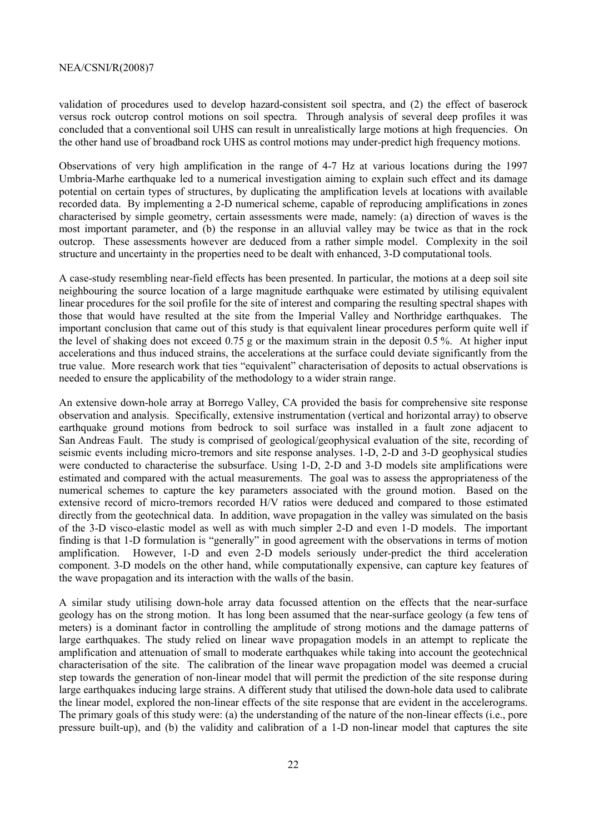validation of procedures used to develop hazard-consistent soil spectra, and (2) the effect of baserock versus rock outcrop control motions on soil spectra. Through analysis of several deep profiles it was concluded that a conventional soil UHS can result in unrealistically large motions at high frequencies. On the other hand use of broadband rock UHS as control motions may under-predict high frequency motions.

Observations of very high amplification in the range of 4-7 Hz at various locations during the 1997 Umbria-Marhe earthquake led to a numerical investigation aiming to explain such effect and its damage potential on certain types of structures, by duplicating the amplification levels at locations with available recorded data. By implementing a 2-D numerical scheme, capable of reproducing amplifications in zones characterised by simple geometry, certain assessments were made, namely: (a) direction of waves is the most important parameter, and (b) the response in an alluvial valley may be twice as that in the rock outcrop. These assessments however are deduced from a rather simple model. Complexity in the soil structure and uncertainty in the properties need to be dealt with enhanced, 3-D computational tools.

A case-study resembling near-field effects has been presented. In particular, the motions at a deep soil site neighbouring the source location of a large magnitude earthquake were estimated by utilising equivalent linear procedures for the soil profile for the site of interest and comparing the resulting spectral shapes with those that would have resulted at the site from the Imperial Valley and Northridge earthquakes. The important conclusion that came out of this study is that equivalent linear procedures perform quite well if the level of shaking does not exceed 0.75 g or the maximum strain in the deposit 0.5 %. At higher input accelerations and thus induced strains, the accelerations at the surface could deviate significantly from the true value. More research work that ties "equivalent" characterisation of deposits to actual observations is needed to ensure the applicability of the methodology to a wider strain range.

An extensive down-hole array at Borrego Valley, CA provided the basis for comprehensive site response observation and analysis. Specifically, extensive instrumentation (vertical and horizontal array) to observe earthquake ground motions from bedrock to soil surface was installed in a fault zone adjacent to San Andreas Fault. The study is comprised of geological/geophysical evaluation of the site, recording of seismic events including micro-tremors and site response analyses. 1-D, 2-D and 3-D geophysical studies were conducted to characterise the subsurface. Using 1-D, 2-D and 3-D models site amplifications were estimated and compared with the actual measurements. The goal was to assess the appropriateness of the numerical schemes to capture the key parameters associated with the ground motion. Based on the extensive record of micro-tremors recorded H/V ratios were deduced and compared to those estimated directly from the geotechnical data. In addition, wave propagation in the valley was simulated on the basis of the 3-D visco-elastic model as well as with much simpler 2-D and even 1-D models. The important finding is that 1-D formulation is "generally" in good agreement with the observations in terms of motion amplification. However, 1-D and even 2-D models seriously under-predict the third acceleration component. 3-D models on the other hand, while computationally expensive, can capture key features of the wave propagation and its interaction with the walls of the basin.

A similar study utilising down-hole array data focussed attention on the effects that the near-surface geology has on the strong motion. It has long been assumed that the near-surface geology (a few tens of meters) is a dominant factor in controlling the amplitude of strong motions and the damage patterns of large earthquakes. The study relied on linear wave propagation models in an attempt to replicate the amplification and attenuation of small to moderate earthquakes while taking into account the geotechnical characterisation of the site. The calibration of the linear wave propagation model was deemed a crucial step towards the generation of non-linear model that will permit the prediction of the site response during large earthquakes inducing large strains. A different study that utilised the down-hole data used to calibrate the linear model, explored the non-linear effects of the site response that are evident in the accelerograms. The primary goals of this study were: (a) the understanding of the nature of the non-linear effects (i.e., pore pressure built-up), and (b) the validity and calibration of a 1-D non-linear model that captures the site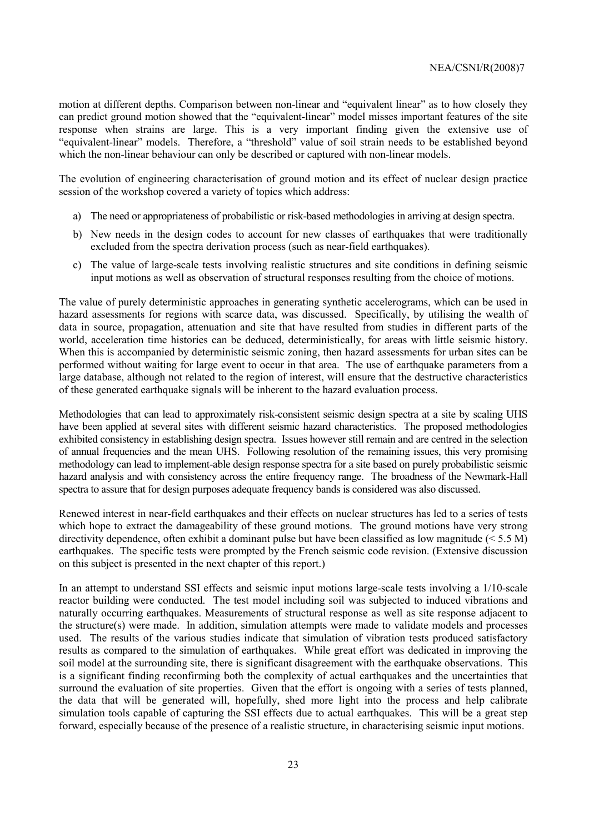motion at different depths. Comparison between non-linear and "equivalent linear" as to how closely they can predict ground motion showed that the "equivalent-linear" model misses important features of the site response when strains are large. This is a very important finding given the extensive use of "equivalent-linear" models. Therefore, a "threshold" value of soil strain needs to be established beyond which the non-linear behaviour can only be described or captured with non-linear models.

The evolution of engineering characterisation of ground motion and its effect of nuclear design practice session of the workshop covered a variety of topics which address:

- a) The need or appropriateness of probabilistic or risk-based methodologies in arriving at design spectra.
- b) New needs in the design codes to account for new classes of earthquakes that were traditionally excluded from the spectra derivation process (such as near-field earthquakes).
- c) The value of large-scale tests involving realistic structures and site conditions in defining seismic input motions as well as observation of structural responses resulting from the choice of motions.

The value of purely deterministic approaches in generating synthetic accelerograms, which can be used in hazard assessments for regions with scarce data, was discussed. Specifically, by utilising the wealth of data in source, propagation, attenuation and site that have resulted from studies in different parts of the world, acceleration time histories can be deduced, deterministically, for areas with little seismic history. When this is accompanied by deterministic seismic zoning, then hazard assessments for urban sites can be performed without waiting for large event to occur in that area. The use of earthquake parameters from a large database, although not related to the region of interest, will ensure that the destructive characteristics of these generated earthquake signals will be inherent to the hazard evaluation process.

Methodologies that can lead to approximately risk-consistent seismic design spectra at a site by scaling UHS have been applied at several sites with different seismic hazard characteristics. The proposed methodologies exhibited consistency in establishing design spectra. Issues however still remain and are centred in the selection of annual frequencies and the mean UHS. Following resolution of the remaining issues, this very promising methodology can lead to implement-able design response spectra for a site based on purely probabilistic seismic hazard analysis and with consistency across the entire frequency range. The broadness of the Newmark-Hall spectra to assure that for design purposes adequate frequency bands is considered was also discussed.

Renewed interest in near-field earthquakes and their effects on nuclear structures has led to a series of tests which hope to extract the damageability of these ground motions. The ground motions have very strong directivity dependence, often exhibit a dominant pulse but have been classified as low magnitude ( $\leq 5.5$  M) earthquakes. The specific tests were prompted by the French seismic code revision. (Extensive discussion on this subject is presented in the next chapter of this report.)

In an attempt to understand SSI effects and seismic input motions large-scale tests involving a 1/10-scale reactor building were conducted. The test model including soil was subjected to induced vibrations and naturally occurring earthquakes. Measurements of structural response as well as site response adjacent to the structure(s) were made. In addition, simulation attempts were made to validate models and processes used. The results of the various studies indicate that simulation of vibration tests produced satisfactory results as compared to the simulation of earthquakes. While great effort was dedicated in improving the soil model at the surrounding site, there is significant disagreement with the earthquake observations. This is a significant finding reconfirming both the complexity of actual earthquakes and the uncertainties that surround the evaluation of site properties. Given that the effort is ongoing with a series of tests planned, the data that will be generated will, hopefully, shed more light into the process and help calibrate simulation tools capable of capturing the SSI effects due to actual earthquakes. This will be a great step forward, especially because of the presence of a realistic structure, in characterising seismic input motions.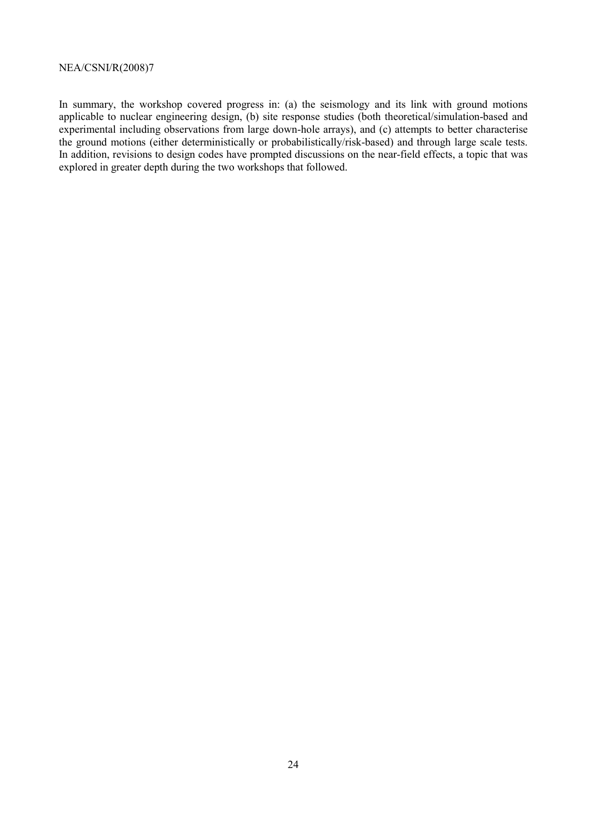In summary, the workshop covered progress in: (a) the seismology and its link with ground motions applicable to nuclear engineering design, (b) site response studies (both theoretical/simulation-based and experimental including observations from large down-hole arrays), and (c) attempts to better characterise the ground motions (either deterministically or probabilistically/risk-based) and through large scale tests. In addition, revisions to design codes have prompted discussions on the near-field effects, a topic that was explored in greater depth during the two workshops that followed.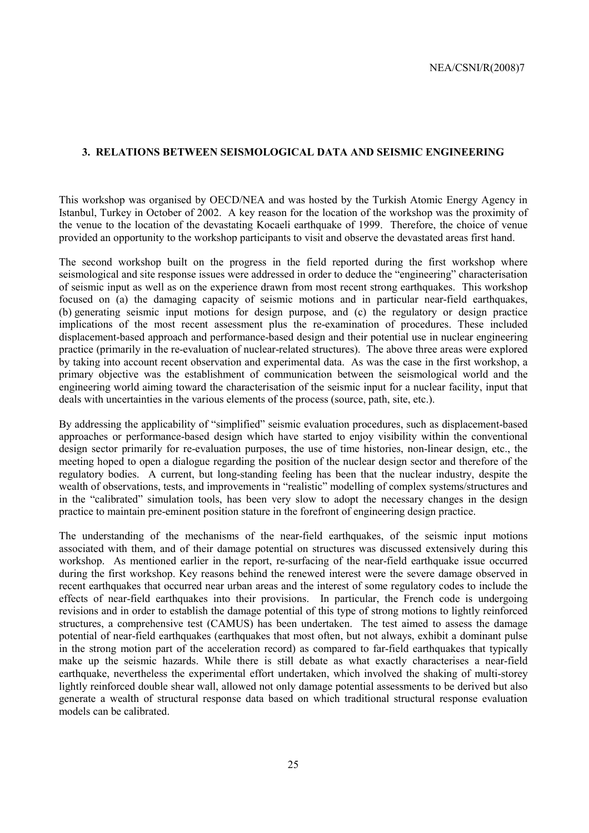### **3. RELATIONS BETWEEN SEISMOLOGICAL DATA AND SEISMIC ENGINEERING**

This workshop was organised by OECD/NEA and was hosted by the Turkish Atomic Energy Agency in Istanbul, Turkey in October of 2002. A key reason for the location of the workshop was the proximity of the venue to the location of the devastating Kocaeli earthquake of 1999. Therefore, the choice of venue provided an opportunity to the workshop participants to visit and observe the devastated areas first hand.

The second workshop built on the progress in the field reported during the first workshop where seismological and site response issues were addressed in order to deduce the "engineering" characterisation of seismic input as well as on the experience drawn from most recent strong earthquakes. This workshop focused on (a) the damaging capacity of seismic motions and in particular near-field earthquakes, (b) generating seismic input motions for design purpose, and (c) the regulatory or design practice implications of the most recent assessment plus the re-examination of procedures. These included displacement-based approach and performance-based design and their potential use in nuclear engineering practice (primarily in the re-evaluation of nuclear-related structures). The above three areas were explored by taking into account recent observation and experimental data. As was the case in the first workshop, a primary objective was the establishment of communication between the seismological world and the engineering world aiming toward the characterisation of the seismic input for a nuclear facility, input that deals with uncertainties in the various elements of the process (source, path, site, etc.).

By addressing the applicability of "simplified" seismic evaluation procedures, such as displacement-based approaches or performance-based design which have started to enjoy visibility within the conventional design sector primarily for re-evaluation purposes, the use of time histories, non-linear design, etc., the meeting hoped to open a dialogue regarding the position of the nuclear design sector and therefore of the regulatory bodies. A current, but long-standing feeling has been that the nuclear industry, despite the wealth of observations, tests, and improvements in "realistic" modelling of complex systems/structures and in the "calibrated" simulation tools, has been very slow to adopt the necessary changes in the design practice to maintain pre-eminent position stature in the forefront of engineering design practice.

The understanding of the mechanisms of the near-field earthquakes, of the seismic input motions associated with them, and of their damage potential on structures was discussed extensively during this workshop. As mentioned earlier in the report, re-surfacing of the near-field earthquake issue occurred during the first workshop. Key reasons behind the renewed interest were the severe damage observed in recent earthquakes that occurred near urban areas and the interest of some regulatory codes to include the effects of near-field earthquakes into their provisions. In particular, the French code is undergoing revisions and in order to establish the damage potential of this type of strong motions to lightly reinforced structures, a comprehensive test (CAMUS) has been undertaken. The test aimed to assess the damage potential of near-field earthquakes (earthquakes that most often, but not always, exhibit a dominant pulse in the strong motion part of the acceleration record) as compared to far-field earthquakes that typically make up the seismic hazards. While there is still debate as what exactly characterises a near-field earthquake, nevertheless the experimental effort undertaken, which involved the shaking of multi-storey lightly reinforced double shear wall, allowed not only damage potential assessments to be derived but also generate a wealth of structural response data based on which traditional structural response evaluation models can be calibrated.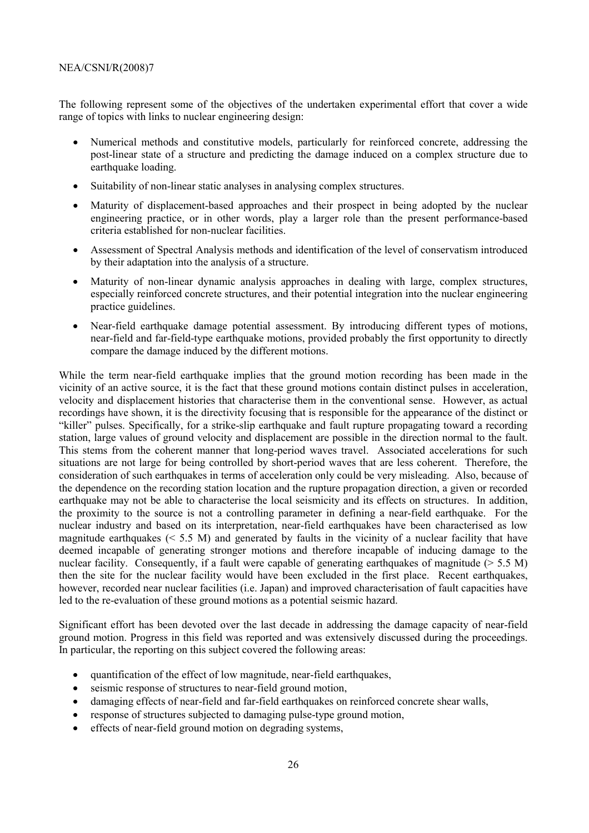The following represent some of the objectives of the undertaken experimental effort that cover a wide range of topics with links to nuclear engineering design:

- Numerical methods and constitutive models, particularly for reinforced concrete, addressing the post-linear state of a structure and predicting the damage induced on a complex structure due to earthquake loading.
- Suitability of non-linear static analyses in analysing complex structures.
- Maturity of displacement-based approaches and their prospect in being adopted by the nuclear engineering practice, or in other words, play a larger role than the present performance-based criteria established for non-nuclear facilities.
- Assessment of Spectral Analysis methods and identification of the level of conservatism introduced by their adaptation into the analysis of a structure.
- Maturity of non-linear dynamic analysis approaches in dealing with large, complex structures, especially reinforced concrete structures, and their potential integration into the nuclear engineering practice guidelines.
- Near-field earthquake damage potential assessment. By introducing different types of motions, near-field and far-field-type earthquake motions, provided probably the first opportunity to directly compare the damage induced by the different motions.

While the term near-field earthquake implies that the ground motion recording has been made in the vicinity of an active source, it is the fact that these ground motions contain distinct pulses in acceleration, velocity and displacement histories that characterise them in the conventional sense. However, as actual recordings have shown, it is the directivity focusing that is responsible for the appearance of the distinct or "killer" pulses. Specifically, for a strike-slip earthquake and fault rupture propagating toward a recording station, large values of ground velocity and displacement are possible in the direction normal to the fault. This stems from the coherent manner that long-period waves travel. Associated accelerations for such situations are not large for being controlled by short-period waves that are less coherent. Therefore, the consideration of such earthquakes in terms of acceleration only could be very misleading. Also, because of the dependence on the recording station location and the rupture propagation direction, a given or recorded earthquake may not be able to characterise the local seismicity and its effects on structures. In addition, the proximity to the source is not a controlling parameter in defining a near-field earthquake. For the nuclear industry and based on its interpretation, near-field earthquakes have been characterised as low magnitude earthquakes ( $\leq 5.5$  M) and generated by faults in the vicinity of a nuclear facility that have deemed incapable of generating stronger motions and therefore incapable of inducing damage to the nuclear facility. Consequently, if a fault were capable of generating earthquakes of magnitude ( $> 5.5$  M) then the site for the nuclear facility would have been excluded in the first place. Recent earthquakes, however, recorded near nuclear facilities (i.e. Japan) and improved characterisation of fault capacities have led to the re-evaluation of these ground motions as a potential seismic hazard.

Significant effort has been devoted over the last decade in addressing the damage capacity of near-field ground motion. Progress in this field was reported and was extensively discussed during the proceedings. In particular, the reporting on this subject covered the following areas:

- quantification of the effect of low magnitude, near-field earthquakes,
- seismic response of structures to near-field ground motion,
- damaging effects of near-field and far-field earthquakes on reinforced concrete shear walls,
- response of structures subjected to damaging pulse-type ground motion,
- effects of near-field ground motion on degrading systems,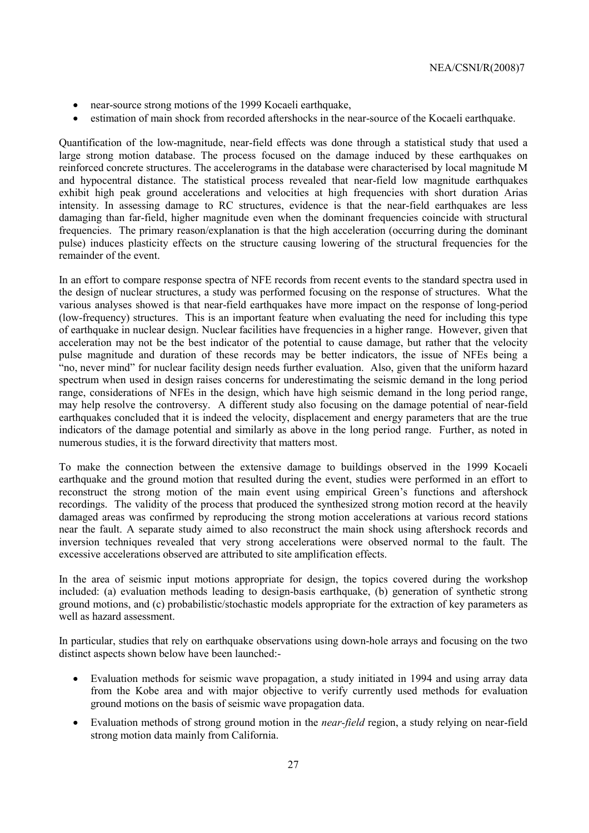- near-source strong motions of the 1999 Kocaeli earthquake,
- estimation of main shock from recorded aftershocks in the near-source of the Kocaeli earthquake.

Quantification of the low-magnitude, near-field effects was done through a statistical study that used a large strong motion database. The process focused on the damage induced by these earthquakes on reinforced concrete structures. The accelerograms in the database were characterised by local magnitude M and hypocentral distance. The statistical process revealed that near-field low magnitude earthquakes exhibit high peak ground accelerations and velocities at high frequencies with short duration Arias intensity. In assessing damage to RC structures, evidence is that the near-field earthquakes are less damaging than far-field, higher magnitude even when the dominant frequencies coincide with structural frequencies. The primary reason/explanation is that the high acceleration (occurring during the dominant pulse) induces plasticity effects on the structure causing lowering of the structural frequencies for the remainder of the event.

In an effort to compare response spectra of NFE records from recent events to the standard spectra used in the design of nuclear structures, a study was performed focusing on the response of structures. What the various analyses showed is that near-field earthquakes have more impact on the response of long-period (low-frequency) structures. This is an important feature when evaluating the need for including this type of earthquake in nuclear design. Nuclear facilities have frequencies in a higher range. However, given that acceleration may not be the best indicator of the potential to cause damage, but rather that the velocity pulse magnitude and duration of these records may be better indicators, the issue of NFEs being a "no, never mind" for nuclear facility design needs further evaluation. Also, given that the uniform hazard spectrum when used in design raises concerns for underestimating the seismic demand in the long period range, considerations of NFEs in the design, which have high seismic demand in the long period range, may help resolve the controversy. A different study also focusing on the damage potential of near-field earthquakes concluded that it is indeed the velocity, displacement and energy parameters that are the true indicators of the damage potential and similarly as above in the long period range. Further, as noted in numerous studies, it is the forward directivity that matters most.

To make the connection between the extensive damage to buildings observed in the 1999 Kocaeli earthquake and the ground motion that resulted during the event, studies were performed in an effort to reconstruct the strong motion of the main event using empirical Green's functions and aftershock recordings. The validity of the process that produced the synthesized strong motion record at the heavily damaged areas was confirmed by reproducing the strong motion accelerations at various record stations near the fault. A separate study aimed to also reconstruct the main shock using aftershock records and inversion techniques revealed that very strong accelerations were observed normal to the fault. The excessive accelerations observed are attributed to site amplification effects.

In the area of seismic input motions appropriate for design, the topics covered during the workshop included: (a) evaluation methods leading to design-basis earthquake, (b) generation of synthetic strong ground motions, and (c) probabilistic/stochastic models appropriate for the extraction of key parameters as well as hazard assessment.

In particular, studies that rely on earthquake observations using down-hole arrays and focusing on the two distinct aspects shown below have been launched:-

- Evaluation methods for seismic wave propagation, a study initiated in 1994 and using array data from the Kobe area and with major objective to verify currently used methods for evaluation ground motions on the basis of seismic wave propagation data.
- Evaluation methods of strong ground motion in the *near-field* region, a study relying on near-field strong motion data mainly from California.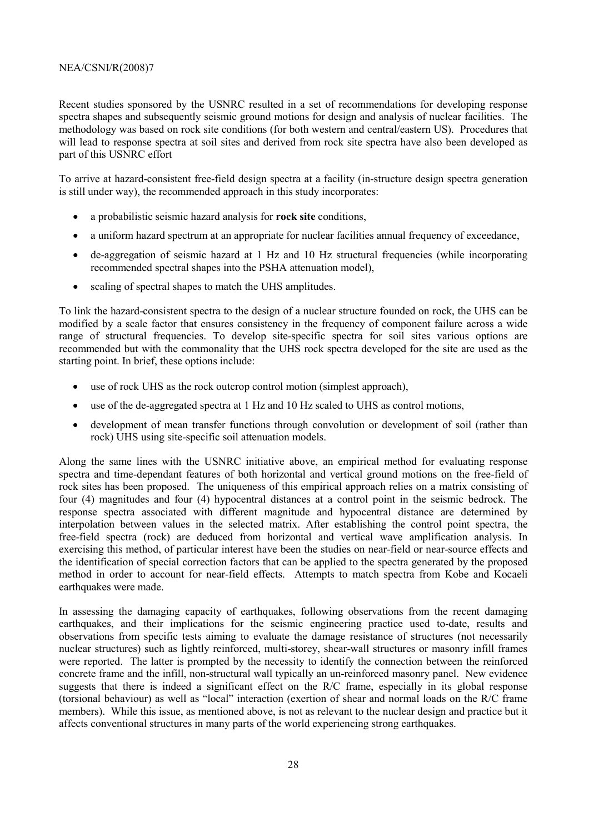Recent studies sponsored by the USNRC resulted in a set of recommendations for developing response spectra shapes and subsequently seismic ground motions for design and analysis of nuclear facilities. The methodology was based on rock site conditions (for both western and central/eastern US). Procedures that will lead to response spectra at soil sites and derived from rock site spectra have also been developed as part of this USNRC effort

To arrive at hazard-consistent free-field design spectra at a facility (in-structure design spectra generation is still under way), the recommended approach in this study incorporates:

- a probabilistic seismic hazard analysis for **rock site** conditions,
- a uniform hazard spectrum at an appropriate for nuclear facilities annual frequency of exceedance,
- de-aggregation of seismic hazard at 1 Hz and 10 Hz structural frequencies (while incorporating recommended spectral shapes into the PSHA attenuation model),
- scaling of spectral shapes to match the UHS amplitudes.

To link the hazard-consistent spectra to the design of a nuclear structure founded on rock, the UHS can be modified by a scale factor that ensures consistency in the frequency of component failure across a wide range of structural frequencies. To develop site-specific spectra for soil sites various options are recommended but with the commonality that the UHS rock spectra developed for the site are used as the starting point. In brief, these options include:

- use of rock UHS as the rock outcrop control motion (simplest approach),
- use of the de-aggregated spectra at 1 Hz and 10 Hz scaled to UHS as control motions,
- development of mean transfer functions through convolution or development of soil (rather than rock) UHS using site-specific soil attenuation models.

Along the same lines with the USNRC initiative above, an empirical method for evaluating response spectra and time-dependant features of both horizontal and vertical ground motions on the free-field of rock sites has been proposed. The uniqueness of this empirical approach relies on a matrix consisting of four (4) magnitudes and four (4) hypocentral distances at a control point in the seismic bedrock. The response spectra associated with different magnitude and hypocentral distance are determined by interpolation between values in the selected matrix. After establishing the control point spectra, the free-field spectra (rock) are deduced from horizontal and vertical wave amplification analysis. In exercising this method, of particular interest have been the studies on near-field or near-source effects and the identification of special correction factors that can be applied to the spectra generated by the proposed method in order to account for near-field effects. Attempts to match spectra from Kobe and Kocaeli earthquakes were made.

In assessing the damaging capacity of earthquakes, following observations from the recent damaging earthquakes, and their implications for the seismic engineering practice used to-date, results and observations from specific tests aiming to evaluate the damage resistance of structures (not necessarily nuclear structures) such as lightly reinforced, multi-storey, shear-wall structures or masonry infill frames were reported. The latter is prompted by the necessity to identify the connection between the reinforced concrete frame and the infill, non-structural wall typically an un-reinforced masonry panel. New evidence suggests that there is indeed a significant effect on the R/C frame, especially in its global response (torsional behaviour) as well as "local" interaction (exertion of shear and normal loads on the R/C frame members). While this issue, as mentioned above, is not as relevant to the nuclear design and practice but it affects conventional structures in many parts of the world experiencing strong earthquakes.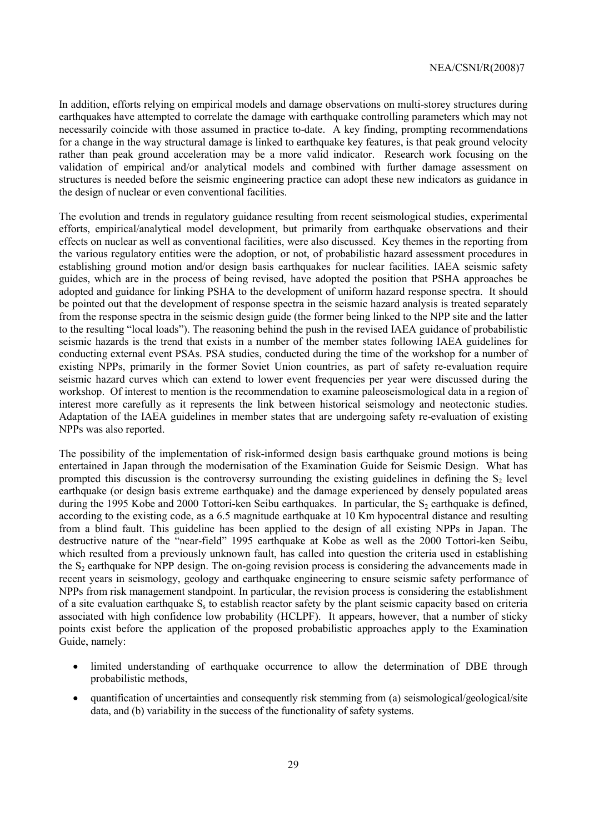In addition, efforts relying on empirical models and damage observations on multi-storey structures during earthquakes have attempted to correlate the damage with earthquake controlling parameters which may not necessarily coincide with those assumed in practice to-date. A key finding, prompting recommendations for a change in the way structural damage is linked to earthquake key features, is that peak ground velocity rather than peak ground acceleration may be a more valid indicator. Research work focusing on the validation of empirical and/or analytical models and combined with further damage assessment on structures is needed before the seismic engineering practice can adopt these new indicators as guidance in the design of nuclear or even conventional facilities.

The evolution and trends in regulatory guidance resulting from recent seismological studies, experimental efforts, empirical/analytical model development, but primarily from earthquake observations and their effects on nuclear as well as conventional facilities, were also discussed. Key themes in the reporting from the various regulatory entities were the adoption, or not, of probabilistic hazard assessment procedures in establishing ground motion and/or design basis earthquakes for nuclear facilities. IAEA seismic safety guides, which are in the process of being revised, have adopted the position that PSHA approaches be adopted and guidance for linking PSHA to the development of uniform hazard response spectra. It should be pointed out that the development of response spectra in the seismic hazard analysis is treated separately from the response spectra in the seismic design guide (the former being linked to the NPP site and the latter to the resulting "local loads"). The reasoning behind the push in the revised IAEA guidance of probabilistic seismic hazards is the trend that exists in a number of the member states following IAEA guidelines for conducting external event PSAs. PSA studies, conducted during the time of the workshop for a number of existing NPPs, primarily in the former Soviet Union countries, as part of safety re-evaluation require seismic hazard curves which can extend to lower event frequencies per year were discussed during the workshop. Of interest to mention is the recommendation to examine paleoseismological data in a region of interest more carefully as it represents the link between historical seismology and neotectonic studies. Adaptation of the IAEA guidelines in member states that are undergoing safety re-evaluation of existing NPPs was also reported.

The possibility of the implementation of risk-informed design basis earthquake ground motions is being entertained in Japan through the modernisation of the Examination Guide for Seismic Design. What has prompted this discussion is the controversy surrounding the existing guidelines in defining the  $S_2$  level earthquake (or design basis extreme earthquake) and the damage experienced by densely populated areas during the 1995 Kobe and 2000 Tottori-ken Seibu earthquakes. In particular, the  $S_2$  earthquake is defined, according to the existing code, as a 6.5 magnitude earthquake at 10 Km hypocentral distance and resulting from a blind fault. This guideline has been applied to the design of all existing NPPs in Japan. The destructive nature of the "near-field" 1995 earthquake at Kobe as well as the 2000 Tottori-ken Seibu, which resulted from a previously unknown fault, has called into question the criteria used in establishing the  $S<sub>2</sub>$  earthquake for NPP design. The on-going revision process is considering the advancements made in recent years in seismology, geology and earthquake engineering to ensure seismic safety performance of NPPs from risk management standpoint. In particular, the revision process is considering the establishment of a site evaluation earthquake  $S_s$  to establish reactor safety by the plant seismic capacity based on criteria associated with high confidence low probability (HCLPF). It appears, however, that a number of sticky points exist before the application of the proposed probabilistic approaches apply to the Examination Guide, namely:

- limited understanding of earthquake occurrence to allow the determination of DBE through probabilistic methods,
- quantification of uncertainties and consequently risk stemming from (a) seismological/geological/site data, and (b) variability in the success of the functionality of safety systems.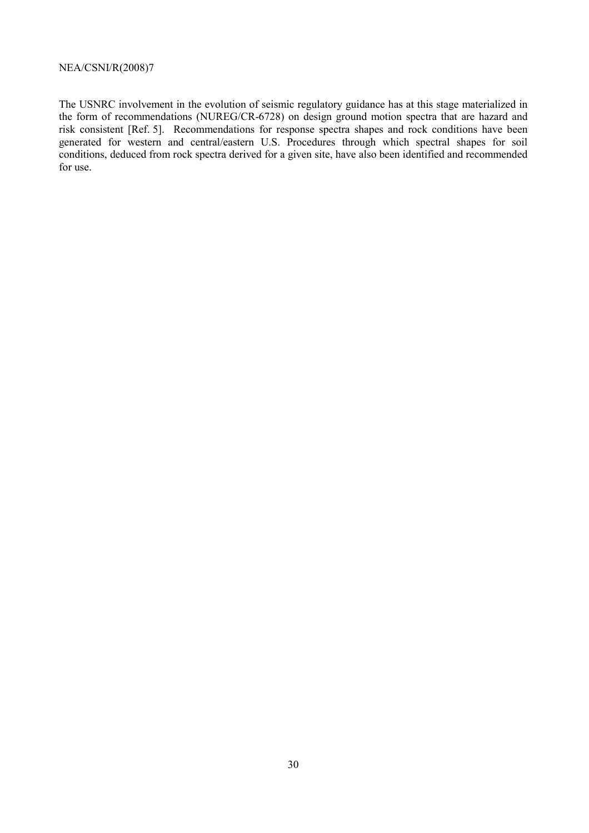The USNRC involvement in the evolution of seismic regulatory guidance has at this stage materialized in the form of recommendations (NUREG/CR-6728) on design ground motion spectra that are hazard and risk consistent [Ref. 5]. Recommendations for response spectra shapes and rock conditions have been generated for western and central/eastern U.S. Procedures through which spectral shapes for soil conditions, deduced from rock spectra derived for a given site, have also been identified and recommended for use.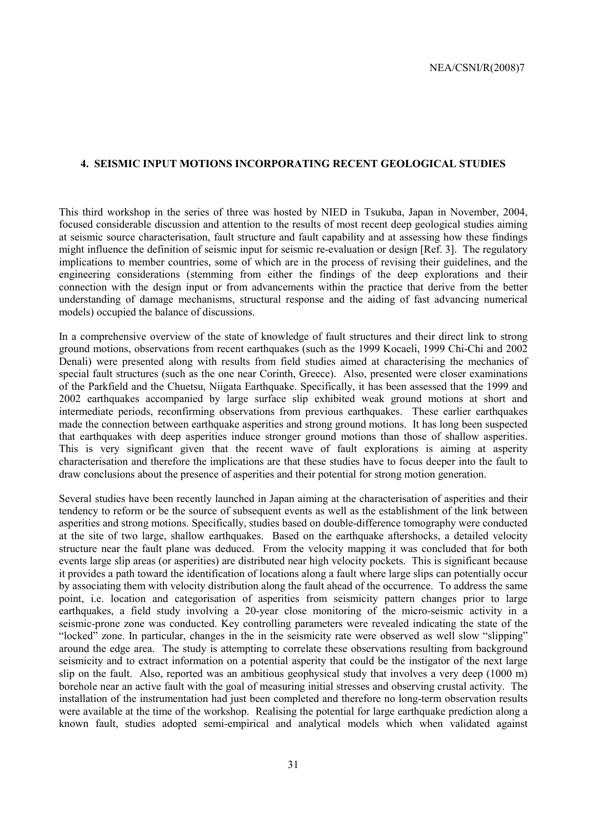### **4. SEISMIC INPUT MOTIONS INCORPORATING RECENT GEOLOGICAL STUDIES**

This third workshop in the series of three was hosted by NIED in Tsukuba, Japan in November, 2004, focused considerable discussion and attention to the results of most recent deep geological studies aiming at seismic source characterisation, fault structure and fault capability and at assessing how these findings might influence the definition of seismic input for seismic re-evaluation or design [Ref. 3]. The regulatory implications to member countries, some of which are in the process of revising their guidelines, and the engineering considerations (stemming from either the findings of the deep explorations and their connection with the design input or from advancements within the practice that derive from the better understanding of damage mechanisms, structural response and the aiding of fast advancing numerical models) occupied the balance of discussions.

In a comprehensive overview of the state of knowledge of fault structures and their direct link to strong ground motions, observations from recent earthquakes (such as the 1999 Kocaeli, 1999 Chi-Chi and 2002 Denali) were presented along with results from field studies aimed at characterising the mechanics of special fault structures (such as the one near Corinth, Greece). Also, presented were closer examinations of the Parkfield and the Chuetsu, Niigata Earthquake. Specifically, it has been assessed that the 1999 and 2002 earthquakes accompanied by large surface slip exhibited weak ground motions at short and intermediate periods, reconfirming observations from previous earthquakes. These earlier earthquakes made the connection between earthquake asperities and strong ground motions. It has long been suspected that earthquakes with deep asperities induce stronger ground motions than those of shallow asperities. This is very significant given that the recent wave of fault explorations is aiming at asperity characterisation and therefore the implications are that these studies have to focus deeper into the fault to draw conclusions about the presence of asperities and their potential for strong motion generation.

Several studies have been recently launched in Japan aiming at the characterisation of asperities and their tendency to reform or be the source of subsequent events as well as the establishment of the link between asperities and strong motions. Specifically, studies based on double-difference tomography were conducted at the site of two large, shallow earthquakes. Based on the earthquake aftershocks, a detailed velocity structure near the fault plane was deduced. From the velocity mapping it was concluded that for both events large slip areas (or asperities) are distributed near high velocity pockets. This is significant because it provides a path toward the identification of locations along a fault where large slips can potentially occur by associating them with velocity distribution along the fault ahead of the occurrence. To address the same point, i.e. location and categorisation of asperities from seismicity pattern changes prior to large earthquakes, a field study involving a 20-year close monitoring of the micro-seismic activity in a seismic-prone zone was conducted. Key controlling parameters were revealed indicating the state of the "locked" zone. In particular, changes in the in the seismicity rate were observed as well slow "slipping" around the edge area. The study is attempting to correlate these observations resulting from background seismicity and to extract information on a potential asperity that could be the instigator of the next large slip on the fault. Also, reported was an ambitious geophysical study that involves a very deep (1000 m) borehole near an active fault with the goal of measuring initial stresses and observing crustal activity. The installation of the instrumentation had just been completed and therefore no long-term observation results were available at the time of the workshop. Realising the potential for large earthquake prediction along a known fault, studies adopted semi-empirical and analytical models which when validated against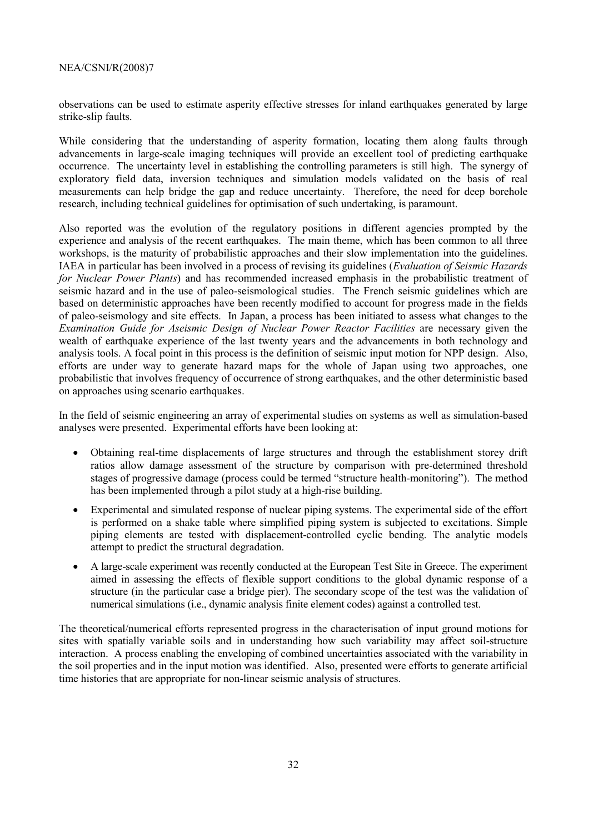observations can be used to estimate asperity effective stresses for inland earthquakes generated by large strike-slip faults.

While considering that the understanding of asperity formation, locating them along faults through advancements in large-scale imaging techniques will provide an excellent tool of predicting earthquake occurrence. The uncertainty level in establishing the controlling parameters is still high. The synergy of exploratory field data, inversion techniques and simulation models validated on the basis of real measurements can help bridge the gap and reduce uncertainty. Therefore, the need for deep borehole research, including technical guidelines for optimisation of such undertaking, is paramount.

Also reported was the evolution of the regulatory positions in different agencies prompted by the experience and analysis of the recent earthquakes. The main theme, which has been common to all three workshops, is the maturity of probabilistic approaches and their slow implementation into the guidelines. IAEA in particular has been involved in a process of revising its guidelines (*Evaluation of Seismic Hazards for Nuclear Power Plants*) and has recommended increased emphasis in the probabilistic treatment of seismic hazard and in the use of paleo-seismological studies. The French seismic guidelines which are based on deterministic approaches have been recently modified to account for progress made in the fields of paleo-seismology and site effects. In Japan, a process has been initiated to assess what changes to the *Examination Guide for Aseismic Design of Nuclear Power Reactor Facilities* are necessary given the wealth of earthquake experience of the last twenty years and the advancements in both technology and analysis tools. A focal point in this process is the definition of seismic input motion for NPP design. Also, efforts are under way to generate hazard maps for the whole of Japan using two approaches, one probabilistic that involves frequency of occurrence of strong earthquakes, and the other deterministic based on approaches using scenario earthquakes.

In the field of seismic engineering an array of experimental studies on systems as well as simulation-based analyses were presented. Experimental efforts have been looking at:

- Obtaining real-time displacements of large structures and through the establishment storey drift ratios allow damage assessment of the structure by comparison with pre-determined threshold stages of progressive damage (process could be termed "structure health-monitoring"). The method has been implemented through a pilot study at a high-rise building.
- Experimental and simulated response of nuclear piping systems. The experimental side of the effort is performed on a shake table where simplified piping system is subjected to excitations. Simple piping elements are tested with displacement-controlled cyclic bending. The analytic models attempt to predict the structural degradation.
- A large-scale experiment was recently conducted at the European Test Site in Greece. The experiment aimed in assessing the effects of flexible support conditions to the global dynamic response of a structure (in the particular case a bridge pier). The secondary scope of the test was the validation of numerical simulations (i.e., dynamic analysis finite element codes) against a controlled test.

The theoretical/numerical efforts represented progress in the characterisation of input ground motions for sites with spatially variable soils and in understanding how such variability may affect soil-structure interaction. A process enabling the enveloping of combined uncertainties associated with the variability in the soil properties and in the input motion was identified. Also, presented were efforts to generate artificial time histories that are appropriate for non-linear seismic analysis of structures.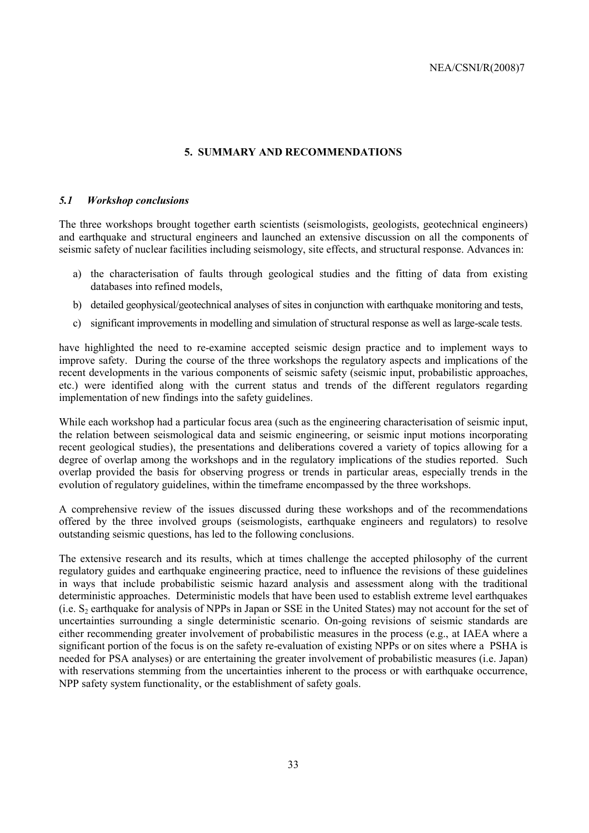## **5. SUMMARY AND RECOMMENDATIONS**

### *5.1 Workshop conclusions*

The three workshops brought together earth scientists (seismologists, geologists, geotechnical engineers) and earthquake and structural engineers and launched an extensive discussion on all the components of seismic safety of nuclear facilities including seismology, site effects, and structural response. Advances in:

- a) the characterisation of faults through geological studies and the fitting of data from existing databases into refined models,
- b) detailed geophysical/geotechnical analyses of sites in conjunction with earthquake monitoring and tests,
- c) significant improvements in modelling and simulation of structural response as well as large-scale tests.

have highlighted the need to re-examine accepted seismic design practice and to implement ways to improve safety. During the course of the three workshops the regulatory aspects and implications of the recent developments in the various components of seismic safety (seismic input, probabilistic approaches, etc.) were identified along with the current status and trends of the different regulators regarding implementation of new findings into the safety guidelines.

While each workshop had a particular focus area (such as the engineering characterisation of seismic input, the relation between seismological data and seismic engineering, or seismic input motions incorporating recent geological studies), the presentations and deliberations covered a variety of topics allowing for a degree of overlap among the workshops and in the regulatory implications of the studies reported. Such overlap provided the basis for observing progress or trends in particular areas, especially trends in the evolution of regulatory guidelines, within the timeframe encompassed by the three workshops.

A comprehensive review of the issues discussed during these workshops and of the recommendations offered by the three involved groups (seismologists, earthquake engineers and regulators) to resolve outstanding seismic questions, has led to the following conclusions.

The extensive research and its results, which at times challenge the accepted philosophy of the current regulatory guides and earthquake engineering practice, need to influence the revisions of these guidelines in ways that include probabilistic seismic hazard analysis and assessment along with the traditional deterministic approaches. Deterministic models that have been used to establish extreme level earthquakes (i.e.  $S_2$  earthquake for analysis of NPPs in Japan or SSE in the United States) may not account for the set of uncertainties surrounding a single deterministic scenario. On-going revisions of seismic standards are either recommending greater involvement of probabilistic measures in the process (e.g., at IAEA where a significant portion of the focus is on the safety re-evaluation of existing NPPs or on sites where a PSHA is needed for PSA analyses) or are entertaining the greater involvement of probabilistic measures (i.e. Japan) with reservations stemming from the uncertainties inherent to the process or with earthquake occurrence, NPP safety system functionality, or the establishment of safety goals.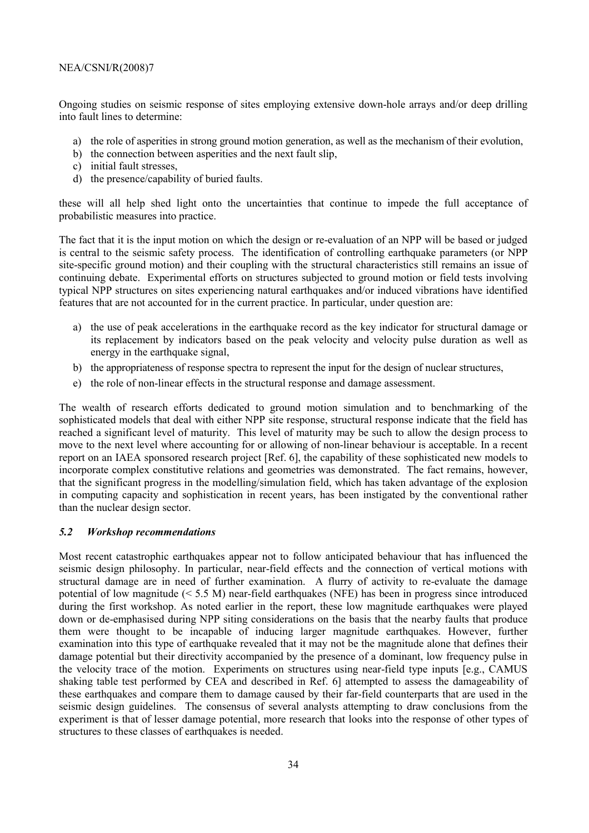Ongoing studies on seismic response of sites employing extensive down-hole arrays and/or deep drilling into fault lines to determine:

- a) the role of asperities in strong ground motion generation, as well as the mechanism of their evolution,
- b) the connection between asperities and the next fault slip,
- c) initial fault stresses,
- d) the presence/capability of buried faults.

these will all help shed light onto the uncertainties that continue to impede the full acceptance of probabilistic measures into practice.

The fact that it is the input motion on which the design or re-evaluation of an NPP will be based or judged is central to the seismic safety process. The identification of controlling earthquake parameters (or NPP site-specific ground motion) and their coupling with the structural characteristics still remains an issue of continuing debate. Experimental efforts on structures subjected to ground motion or field tests involving typical NPP structures on sites experiencing natural earthquakes and/or induced vibrations have identified features that are not accounted for in the current practice. In particular, under question are:

- a) the use of peak accelerations in the earthquake record as the key indicator for structural damage or its replacement by indicators based on the peak velocity and velocity pulse duration as well as energy in the earthquake signal,
- b) the appropriateness of response spectra to represent the input for the design of nuclear structures,
- e) the role of non-linear effects in the structural response and damage assessment.

The wealth of research efforts dedicated to ground motion simulation and to benchmarking of the sophisticated models that deal with either NPP site response, structural response indicate that the field has reached a significant level of maturity. This level of maturity may be such to allow the design process to move to the next level where accounting for or allowing of non-linear behaviour is acceptable. In a recent report on an IAEA sponsored research project [Ref. 6], the capability of these sophisticated new models to incorporate complex constitutive relations and geometries was demonstrated. The fact remains, however, that the significant progress in the modelling/simulation field, which has taken advantage of the explosion in computing capacity and sophistication in recent years, has been instigated by the conventional rather than the nuclear design sector.

### *5.2 Workshop recommendations*

Most recent catastrophic earthquakes appear not to follow anticipated behaviour that has influenced the seismic design philosophy. In particular, near-field effects and the connection of vertical motions with structural damage are in need of further examination. A flurry of activity to re-evaluate the damage potential of low magnitude  $( $5.5 \text{ M}$ )$  near-field earthquakes (NFE) has been in progress since introduced during the first workshop. As noted earlier in the report, these low magnitude earthquakes were played down or de-emphasised during NPP siting considerations on the basis that the nearby faults that produce them were thought to be incapable of inducing larger magnitude earthquakes. However, further examination into this type of earthquake revealed that it may not be the magnitude alone that defines their damage potential but their directivity accompanied by the presence of a dominant, low frequency pulse in the velocity trace of the motion. Experiments on structures using near-field type inputs [e.g., CAMUS shaking table test performed by CEA and described in Ref. 6] attempted to assess the damageability of these earthquakes and compare them to damage caused by their far-field counterparts that are used in the seismic design guidelines. The consensus of several analysts attempting to draw conclusions from the experiment is that of lesser damage potential, more research that looks into the response of other types of structures to these classes of earthquakes is needed.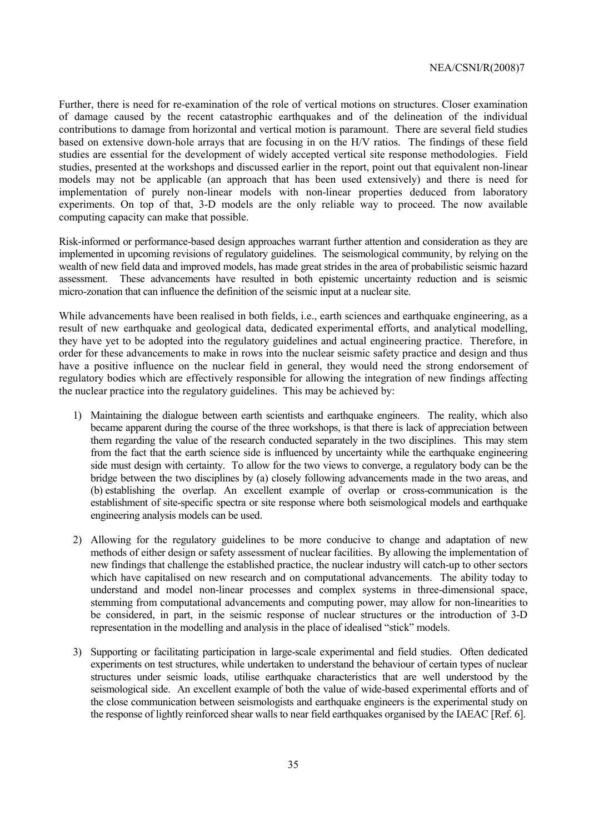Further, there is need for re-examination of the role of vertical motions on structures. Closer examination of damage caused by the recent catastrophic earthquakes and of the delineation of the individual contributions to damage from horizontal and vertical motion is paramount. There are several field studies based on extensive down-hole arrays that are focusing in on the H/V ratios. The findings of these field studies are essential for the development of widely accepted vertical site response methodologies. Field studies, presented at the workshops and discussed earlier in the report, point out that equivalent non-linear models may not be applicable (an approach that has been used extensively) and there is need for implementation of purely non-linear models with non-linear properties deduced from laboratory experiments. On top of that, 3-D models are the only reliable way to proceed. The now available computing capacity can make that possible.

Risk-informed or performance-based design approaches warrant further attention and consideration as they are implemented in upcoming revisions of regulatory guidelines. The seismological community, by relying on the wealth of new field data and improved models, has made great strides in the area of probabilistic seismic hazard assessment. These advancements have resulted in both epistemic uncertainty reduction and is seismic micro-zonation that can influence the definition of the seismic input at a nuclear site.

While advancements have been realised in both fields, i.e., earth sciences and earthquake engineering, as a result of new earthquake and geological data, dedicated experimental efforts, and analytical modelling, they have yet to be adopted into the regulatory guidelines and actual engineering practice. Therefore, in order for these advancements to make in rows into the nuclear seismic safety practice and design and thus have a positive influence on the nuclear field in general, they would need the strong endorsement of regulatory bodies which are effectively responsible for allowing the integration of new findings affecting the nuclear practice into the regulatory guidelines. This may be achieved by:

- 1) Maintaining the dialogue between earth scientists and earthquake engineers. The reality, which also became apparent during the course of the three workshops, is that there is lack of appreciation between them regarding the value of the research conducted separately in the two disciplines. This may stem from the fact that the earth science side is influenced by uncertainty while the earthquake engineering side must design with certainty. To allow for the two views to converge, a regulatory body can be the bridge between the two disciplines by (a) closely following advancements made in the two areas, and (b) establishing the overlap. An excellent example of overlap or cross-communication is the establishment of site-specific spectra or site response where both seismological models and earthquake engineering analysis models can be used.
- 2) Allowing for the regulatory guidelines to be more conducive to change and adaptation of new methods of either design or safety assessment of nuclear facilities. By allowing the implementation of new findings that challenge the established practice, the nuclear industry will catch-up to other sectors which have capitalised on new research and on computational advancements. The ability today to understand and model non-linear processes and complex systems in three-dimensional space, stemming from computational advancements and computing power, may allow for non-linearities to be considered, in part, in the seismic response of nuclear structures or the introduction of 3-D representation in the modelling and analysis in the place of idealised "stick" models.
- 3) Supporting or facilitating participation in large-scale experimental and field studies. Often dedicated experiments on test structures, while undertaken to understand the behaviour of certain types of nuclear structures under seismic loads, utilise earthquake characteristics that are well understood by the seismological side. An excellent example of both the value of wide-based experimental efforts and of the close communication between seismologists and earthquake engineers is the experimental study on the response of lightly reinforced shear walls to near field earthquakes organised by the IAEAC [Ref. 6].